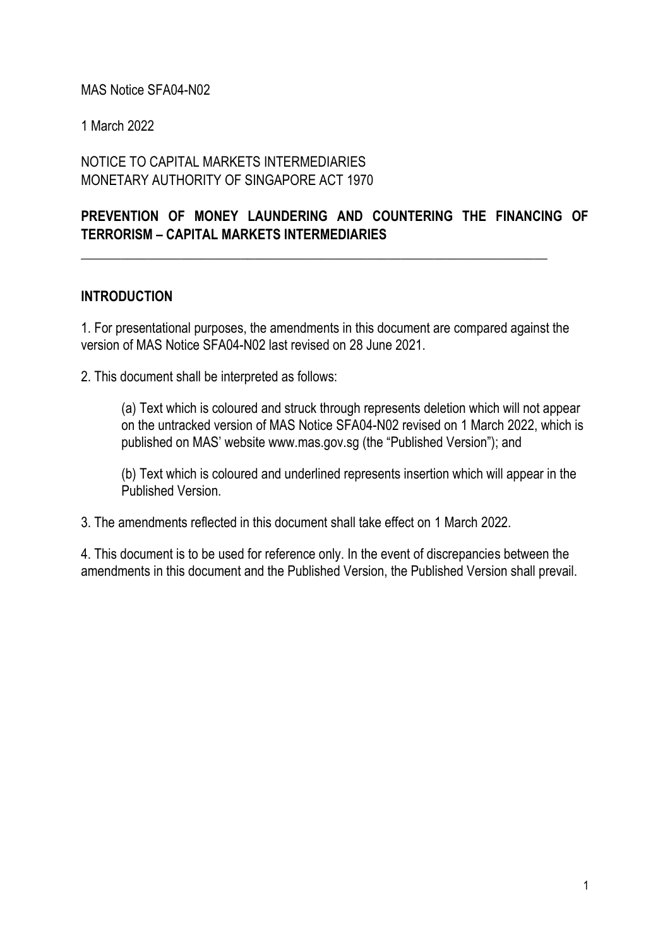#### MAS Notice SFA04-N02

1 March 2022

NOTICE TO CAPITAL MARKETS INTERMEDIARIES MONETARY AUTHORITY OF SINGAPORE ACT 1970

## **PREVENTION OF MONEY LAUNDERING AND COUNTERING THE FINANCING OF TERRORISM – CAPITAL MARKETS INTERMEDIARIES**

\_\_\_\_\_\_\_\_\_\_\_\_\_\_\_\_\_\_\_\_\_\_\_\_\_\_\_\_\_\_\_\_\_\_\_\_\_\_\_\_\_\_\_\_\_\_\_\_\_\_\_\_\_\_\_\_\_\_\_\_\_\_\_\_\_\_\_\_\_\_

#### **INTRODUCTION**

1. For presentational purposes, the amendments in this document are compared against the version of MAS Notice SFA04-N02 last revised on 28 June 2021.

2. This document shall be interpreted as follows:

(a) Text which is coloured and struck through represents deletion which will not appear on the untracked version of MAS Notice SFA04-N02 revised on 1 March 2022, which is published on MAS' website www.mas.gov.sg (the "Published Version"); and

(b) Text which is coloured and underlined represents insertion which will appear in the Published Version.

3. The amendments reflected in this document shall take effect on 1 March 2022.

4. This document is to be used for reference only. In the event of discrepancies between the amendments in this document and the Published Version, the Published Version shall prevail.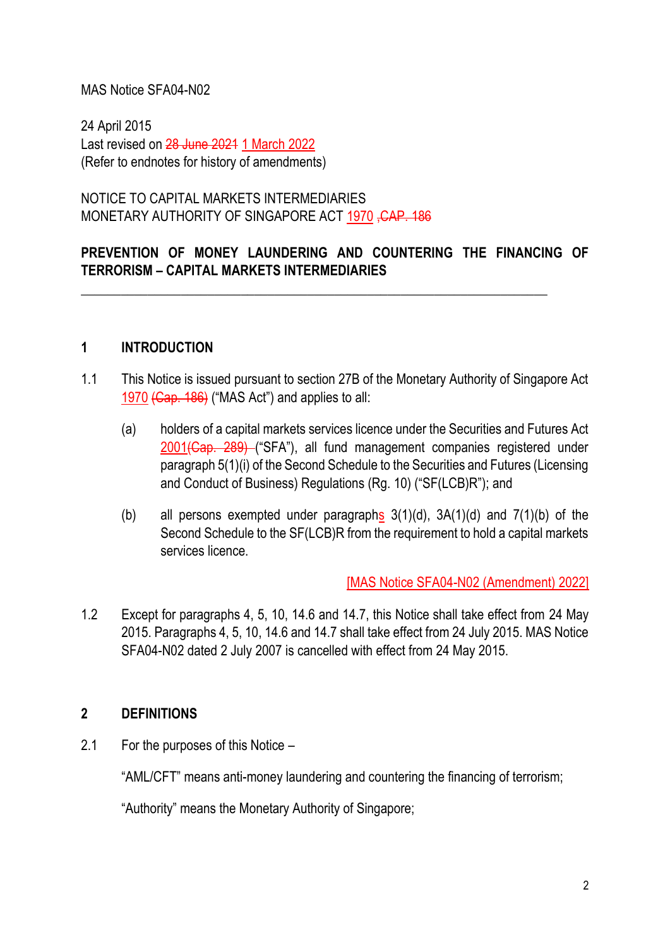#### MAS Notice SFA04-N02

24 April 2015 Last revised on 28 June 2021 1 March 2022 (Refer to endnotes for history of amendments)

NOTICE TO CAPITAL MARKETS INTERMEDIARIES MONETARY AUTHORITY OF SINGAPORE ACT 1970, CAP. 186

## **PREVENTION OF MONEY LAUNDERING AND COUNTERING THE FINANCING OF TERRORISM – CAPITAL MARKETS INTERMEDIARIES**

\_\_\_\_\_\_\_\_\_\_\_\_\_\_\_\_\_\_\_\_\_\_\_\_\_\_\_\_\_\_\_\_\_\_\_\_\_\_\_\_\_\_\_\_\_\_\_\_\_\_\_\_\_\_\_\_\_\_\_\_\_\_\_\_\_\_\_\_\_\_

#### **1 INTRODUCTION**

- 1.1 This Notice is issued pursuant to section 27B of the Monetary Authority of Singapore Act 1970 (Cap. 186) ("MAS Act") and applies to all:
	- (a) holders of a capital markets services licence under the Securities and Futures Act 2001(Cap. 289) ("SFA"), all fund management companies registered under paragraph 5(1)(i) of the Second Schedule to the Securities and Futures (Licensing and Conduct of Business) Regulations (Rg. 10) ("SF(LCB)R"); and
	- (b) all persons exempted under paragraphs  $3(1)(d)$ ,  $3A(1)(d)$  and  $7(1)(b)$  of the Second Schedule to the SF(LCB)R from the requirement to hold a capital markets services licence.

[MAS Notice SFA04-N02 (Amendment) 2022]

1.2 Except for paragraphs 4, 5, 10, 14.6 and 14.7, this Notice shall take effect from 24 May 2015. Paragraphs 4, 5, 10, 14.6 and 14.7 shall take effect from 24 July 2015. MAS Notice SFA04-N02 dated 2 July 2007 is cancelled with effect from 24 May 2015.

#### **2 DEFINITIONS**

2.1 For the purposes of this Notice –

"AML/CFT" means anti-money laundering and countering the financing of terrorism;

"Authority" means the Monetary Authority of Singapore;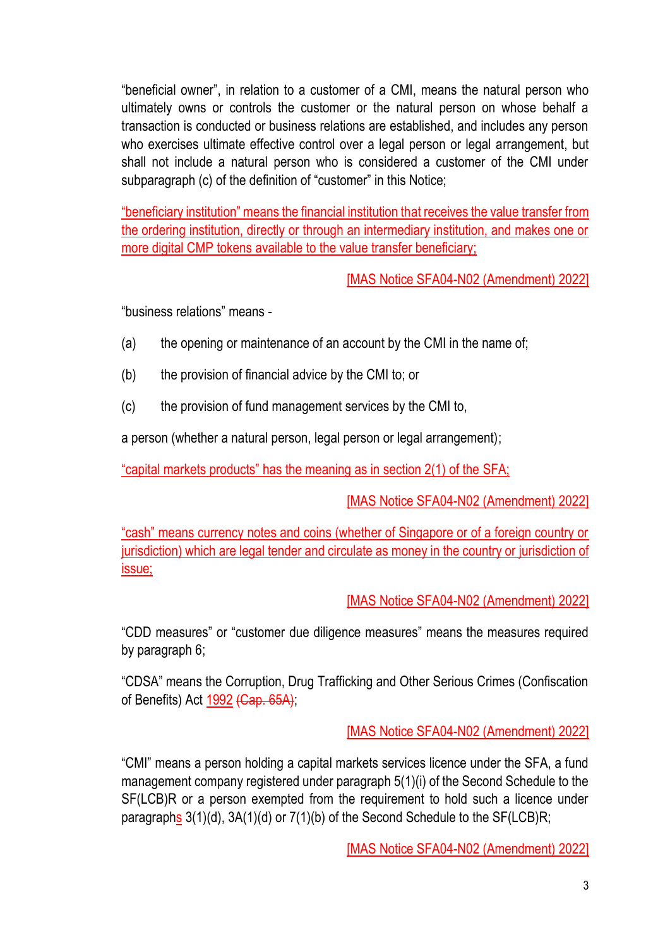"beneficial owner", in relation to a customer of a CMI, means the natural person who ultimately owns or controls the customer or the natural person on whose behalf a transaction is conducted or business relations are established, and includes any person who exercises ultimate effective control over a legal person or legal arrangement, but shall not include a natural person who is considered a customer of the CMI under subparagraph (c) of the definition of "customer" in this Notice;

"beneficiary institution" means the financial institution that receives the value transfer from the ordering institution, directly or through an intermediary institution, and makes one or more digital CMP tokens available to the value transfer beneficiary;

[MAS Notice SFA04-N02 (Amendment) 2022]

"business relations" means -

- (a) the opening or maintenance of an account by the CMI in the name of;
- (b) the provision of financial advice by the CMI to; or
- (c) the provision of fund management services by the CMI to,

a person (whether a natural person, legal person or legal arrangement);

"capital markets products" has the meaning as in section 2(1) of the SFA;

[MAS Notice SFA04-N02 (Amendment) 2022]

"cash" means currency notes and coins (whether of Singapore or of a foreign country or jurisdiction) which are legal tender and circulate as money in the country or jurisdiction of issue;

[MAS Notice SFA04-N02 (Amendment) 2022]

"CDD measures" or "customer due diligence measures" means the measures required by paragraph 6;

"CDSA" means the Corruption, Drug Trafficking and Other Serious Crimes (Confiscation of Benefits) Act 1992 (Cap. 65A);

[MAS Notice SFA04-N02 (Amendment) 2022]

"CMI" means a person holding a capital markets services licence under the SFA, a fund management company registered under paragraph 5(1)(i) of the Second Schedule to the SF(LCB)R or a person exempted from the requirement to hold such a licence under paragraphs 3(1)(d), 3A(1)(d) or 7(1)(b) of the Second Schedule to the SF(LCB)R;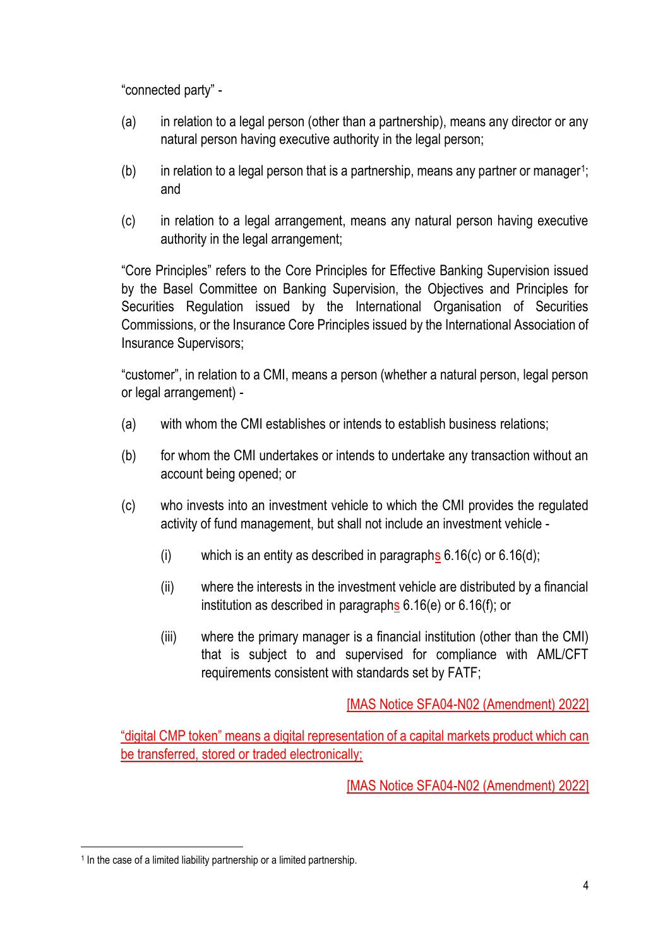"connected party" -

- (a) in relation to a legal person (other than a partnership), means any director or any natural person having executive authority in the legal person;
- $(b)$  in relation to a legal person that is a partnership, means any partner or manager<sup>1</sup>; and
- (c) in relation to a legal arrangement, means any natural person having executive authority in the legal arrangement;

"Core Principles" refers to the Core Principles for Effective Banking Supervision issued by the Basel Committee on Banking Supervision, the Objectives and Principles for Securities Regulation issued by the International Organisation of Securities Commissions, or the Insurance Core Principles issued by the International Association of Insurance Supervisors;

"customer", in relation to a CMI, means a person (whether a natural person, legal person or legal arrangement) -

- (a) with whom the CMI establishes or intends to establish business relations;
- (b) for whom the CMI undertakes or intends to undertake any transaction without an account being opened; or
- (c) who invests into an investment vehicle to which the CMI provides the regulated activity of fund management, but shall not include an investment vehicle -
	- (i) which is an entity as described in paragraphs  $6.16(c)$  or  $6.16(d)$ ;
	- (ii) where the interests in the investment vehicle are distributed by a financial institution as described in paragraphs 6.16(e) or 6.16(f); or
	- (iii) where the primary manager is a financial institution (other than the CMI) that is subject to and supervised for compliance with AML/CFT requirements consistent with standards set by FATF;

[MAS Notice SFA04-N02 (Amendment) 2022]

"digital CMP token" means a digital representation of a capital markets product which can be transferred, stored or traded electronically;

<sup>&</sup>lt;sup>1</sup> In the case of a limited liability partnership or a limited partnership.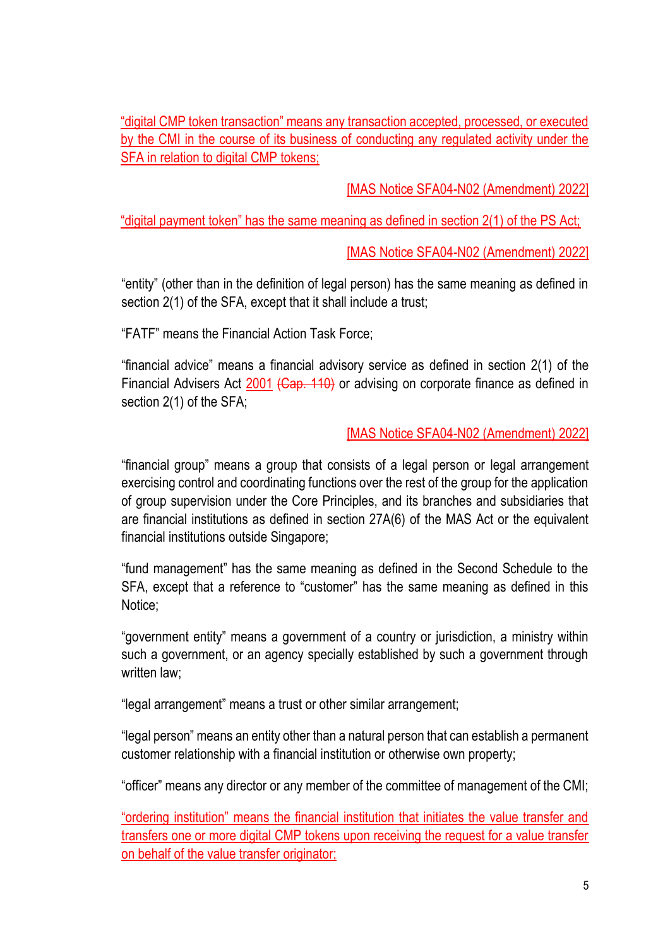"digital CMP token transaction" means any transaction accepted, processed, or executed by the CMI in the course of its business of conducting any regulated activity under the SFA in relation to digital CMP tokens;

[MAS Notice SFA04-N02 (Amendment) 2022]

"digital payment token" has the same meaning as defined in section 2(1) of the PS Act;

[MAS Notice SFA04-N02 (Amendment) 2022]

"entity" (other than in the definition of legal person) has the same meaning as defined in section 2(1) of the SFA, except that it shall include a trust;

"FATF" means the Financial Action Task Force;

"financial advice" means a financial advisory service as defined in section 2(1) of the Financial Advisers Act 2001 (Cap. 110) or advising on corporate finance as defined in section 2(1) of the SFA;

### [MAS Notice SFA04-N02 (Amendment) 2022]

"financial group" means a group that consists of a legal person or legal arrangement exercising control and coordinating functions over the rest of the group for the application of group supervision under the Core Principles, and its branches and subsidiaries that are financial institutions as defined in section 27A(6) of the MAS Act or the equivalent financial institutions outside Singapore;

"fund management" has the same meaning as defined in the Second Schedule to the SFA, except that a reference to "customer" has the same meaning as defined in this Notice;

"government entity" means a government of a country or jurisdiction, a ministry within such a government, or an agency specially established by such a government through written law:

"legal arrangement" means a trust or other similar arrangement;

"legal person" means an entity other than a natural person that can establish a permanent customer relationship with a financial institution or otherwise own property;

"officer" means any director or any member of the committee of management of the CMI;

"ordering institution" means the financial institution that initiates the value transfer and transfers one or more digital CMP tokens upon receiving the request for a value transfer on behalf of the value transfer originator;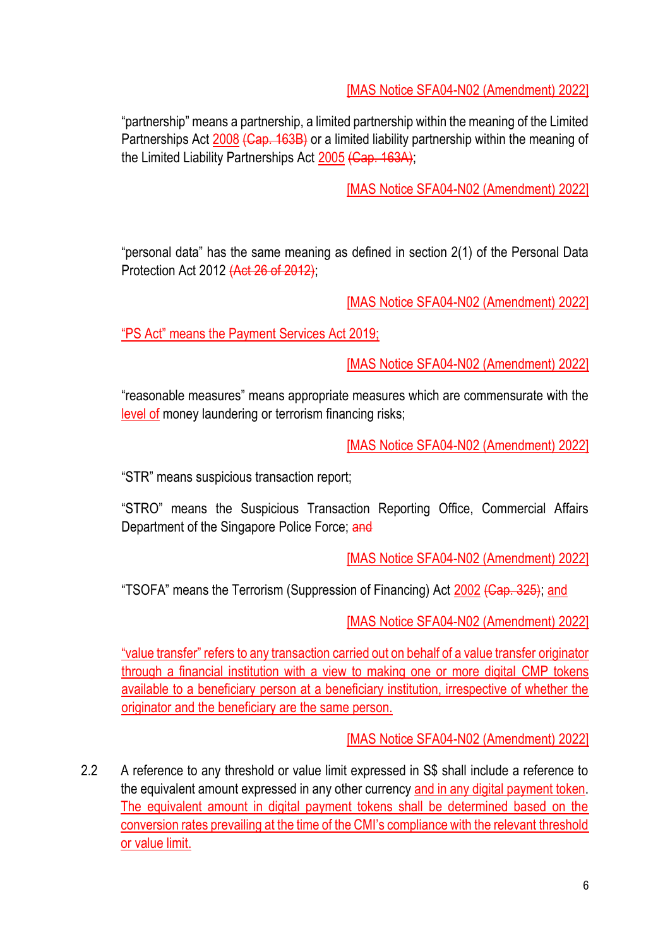"partnership" means a partnership, a limited partnership within the meaning of the Limited Partnerships Act 2008 (Cap. 163B) or a limited liability partnership within the meaning of the Limited Liability Partnerships Act 2005 (Cap. 163A);

[MAS Notice SFA04-N02 (Amendment) 2022]

"personal data" has the same meaning as defined in section 2(1) of the Personal Data Protection Act 2012 (Act 26 of 2012);

[MAS Notice SFA04-N02 (Amendment) 2022]

"PS Act" means the Payment Services Act 2019;

[MAS Notice SFA04-N02 (Amendment) 2022]

"reasonable measures" means appropriate measures which are commensurate with the level of money laundering or terrorism financing risks;

[MAS Notice SFA04-N02 (Amendment) 2022]

"STR" means suspicious transaction report;

"STRO" means the Suspicious Transaction Reporting Office, Commercial Affairs Department of the Singapore Police Force; and

[MAS Notice SFA04-N02 (Amendment) 2022]

"TSOFA" means the Terrorism (Suppression of Financing) Act 2002 (Cap. 325); and

[MAS Notice SFA04-N02 (Amendment) 2022]

"value transfer" refers to any transaction carried out on behalf of a value transfer originator through a financial institution with a view to making one or more digital CMP tokens available to a beneficiary person at a beneficiary institution, irrespective of whether the originator and the beneficiary are the same person.

[MAS Notice SFA04-N02 (Amendment) 2022]

2.2 A reference to any threshold or value limit expressed in S\$ shall include a reference to the equivalent amount expressed in any other currency and in any digital payment token. The equivalent amount in digital payment tokens shall be determined based on the conversion rates prevailing at the time of the CMI's compliance with the relevant threshold or value limit.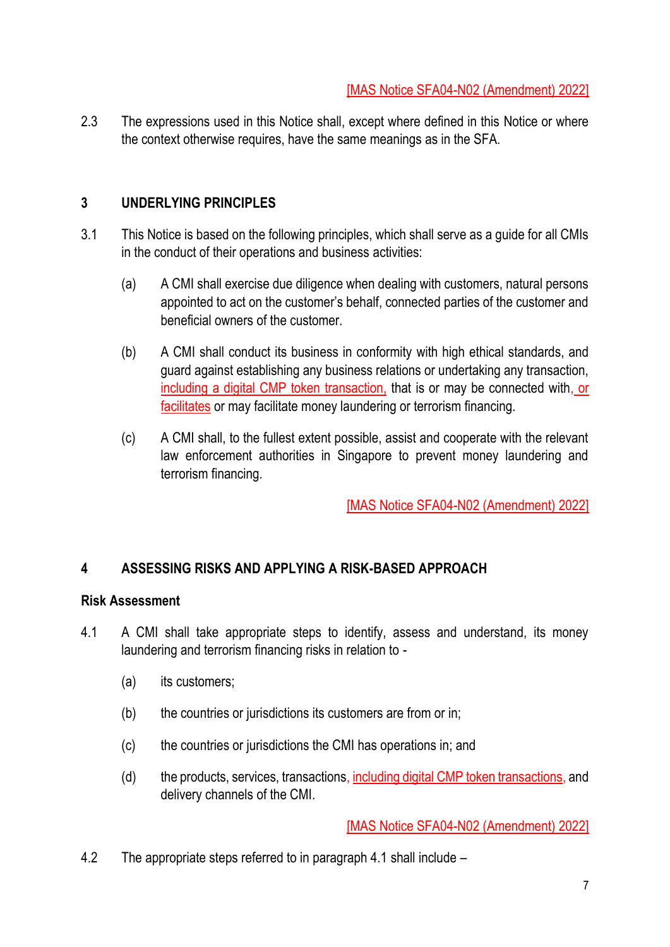2.3 The expressions used in this Notice shall, except where defined in this Notice or where the context otherwise requires, have the same meanings as in the SFA.

### **3 UNDERLYING PRINCIPLES**

- 3.1 This Notice is based on the following principles, which shall serve as a guide for all CMIs in the conduct of their operations and business activities:
	- (a) A CMI shall exercise due diligence when dealing with customers, natural persons appointed to act on the customer's behalf, connected parties of the customer and beneficial owners of the customer.
	- (b) A CMI shall conduct its business in conformity with high ethical standards, and guard against establishing any business relations or undertaking any transaction, including a digital CMP token transaction, that is or may be connected with, or facilitates or may facilitate money laundering or terrorism financing.
	- (c) A CMI shall, to the fullest extent possible, assist and cooperate with the relevant law enforcement authorities in Singapore to prevent money laundering and terrorism financing.

[MAS Notice SFA04-N02 (Amendment) 2022]

## **4 ASSESSING RISKS AND APPLYING A RISK-BASED APPROACH**

#### **Risk Assessment**

- 4.1 A CMI shall take appropriate steps to identify, assess and understand, its money laundering and terrorism financing risks in relation to -
	- (a) its customers;
	- (b) the countries or jurisdictions its customers are from or in;
	- (c) the countries or jurisdictions the CMI has operations in; and
	- (d) the products, services, transactions, including digital CMP token transactions, and delivery channels of the CMI.

[MAS Notice SFA04-N02 (Amendment) 2022]

4.2 The appropriate steps referred to in paragraph 4.1 shall include –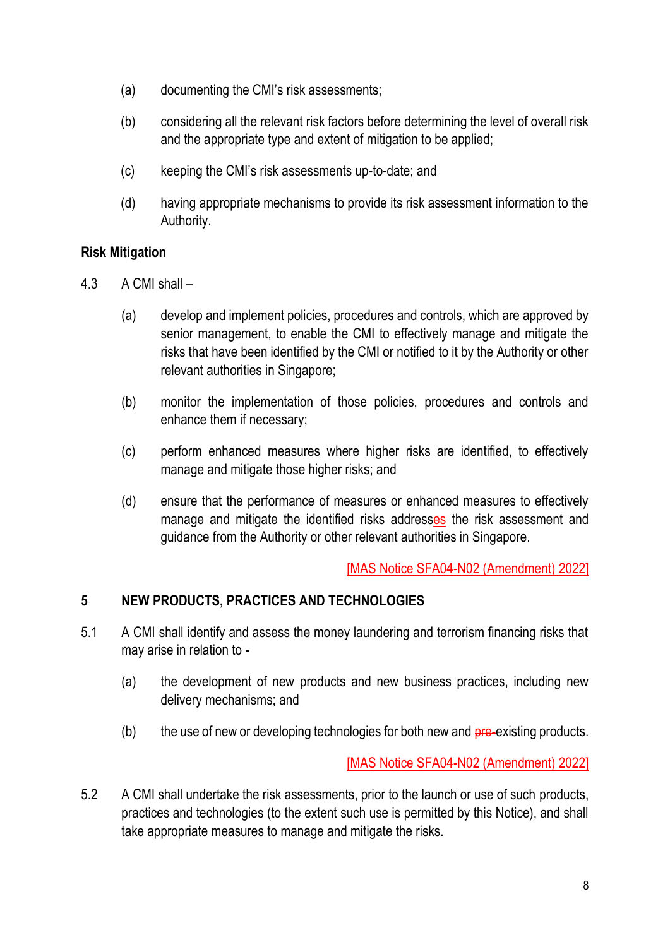- (a) documenting the CMI's risk assessments;
- (b) considering all the relevant risk factors before determining the level of overall risk and the appropriate type and extent of mitigation to be applied;
- (c) keeping the CMI's risk assessments up-to-date; and
- (d) having appropriate mechanisms to provide its risk assessment information to the Authority.

## **Risk Mitigation**

- 4.3 A CMI shall
	- (a) develop and implement policies, procedures and controls, which are approved by senior management, to enable the CMI to effectively manage and mitigate the risks that have been identified by the CMI or notified to it by the Authority or other relevant authorities in Singapore;
	- (b) monitor the implementation of those policies, procedures and controls and enhance them if necessary;
	- (c) perform enhanced measures where higher risks are identified, to effectively manage and mitigate those higher risks; and
	- (d) ensure that the performance of measures or enhanced measures to effectively manage and mitigate the identified risks addresses the risk assessment and guidance from the Authority or other relevant authorities in Singapore.

[MAS Notice SFA04-N02 (Amendment) 2022]

#### **5 NEW PRODUCTS, PRACTICES AND TECHNOLOGIES**

- 5.1 A CMI shall identify and assess the money laundering and terrorism financing risks that may arise in relation to -
	- (a) the development of new products and new business practices, including new delivery mechanisms; and
	- $(b)$  the use of new or developing technologies for both new and  $pre-existing$  products.

[MAS Notice SFA04-N02 (Amendment) 2022]

5.2 A CMI shall undertake the risk assessments, prior to the launch or use of such products, practices and technologies (to the extent such use is permitted by this Notice), and shall take appropriate measures to manage and mitigate the risks.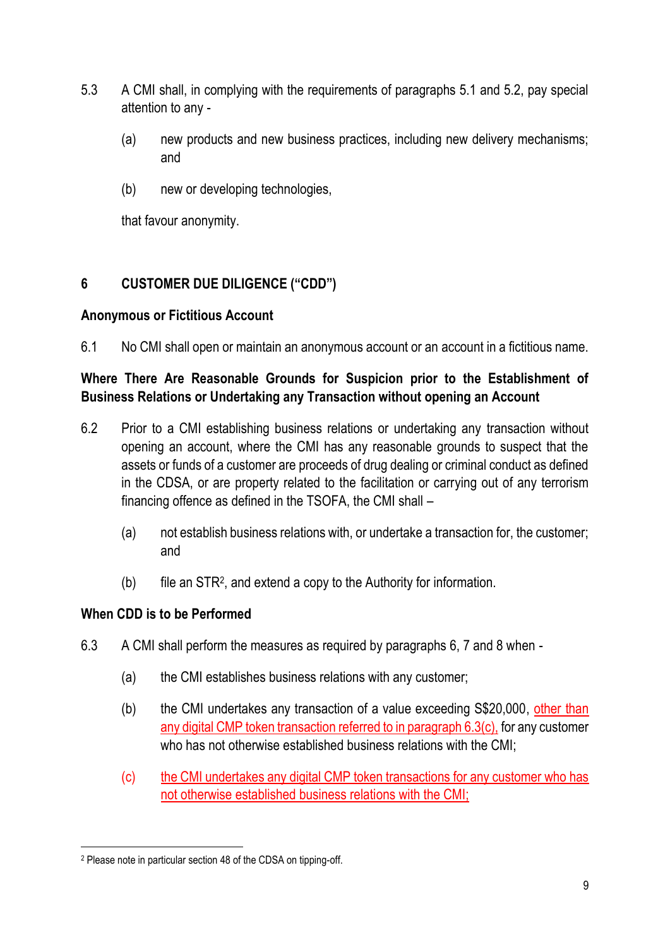- 5.3 A CMI shall, in complying with the requirements of paragraphs 5.1 and 5.2, pay special attention to any -
	- (a) new products and new business practices, including new delivery mechanisms; and
	- (b) new or developing technologies,

that favour anonymity.

# **6 CUSTOMER DUE DILIGENCE ("CDD")**

## **Anonymous or Fictitious Account**

6.1 No CMI shall open or maintain an anonymous account or an account in a fictitious name.

## **Where There Are Reasonable Grounds for Suspicion prior to the Establishment of Business Relations or Undertaking any Transaction without opening an Account**

- 6.2 Prior to a CMI establishing business relations or undertaking any transaction without opening an account, where the CMI has any reasonable grounds to suspect that the assets or funds of a customer are proceeds of drug dealing or criminal conduct as defined in the CDSA, or are property related to the facilitation or carrying out of any terrorism financing offence as defined in the TSOFA, the CMI shall –
	- (a) not establish business relations with, or undertake a transaction for, the customer; and
	- (b) file an STR<sup>2</sup> , and extend a copy to the Authority for information.

## **When CDD is to be Performed**

- 6.3 A CMI shall perform the measures as required by paragraphs 6, 7 and 8 when
	- (a) the CMI establishes business relations with any customer;
	- (b) the CMI undertakes any transaction of a value exceeding S\$20,000, other than any digital CMP token transaction referred to in paragraph 6.3(c), for any customer who has not otherwise established business relations with the CMI;
	- (c) the CMI undertakes any digital CMP token transactions for any customer who has not otherwise established business relations with the CMI;

<sup>2</sup> Please note in particular section 48 of the CDSA on tipping-off.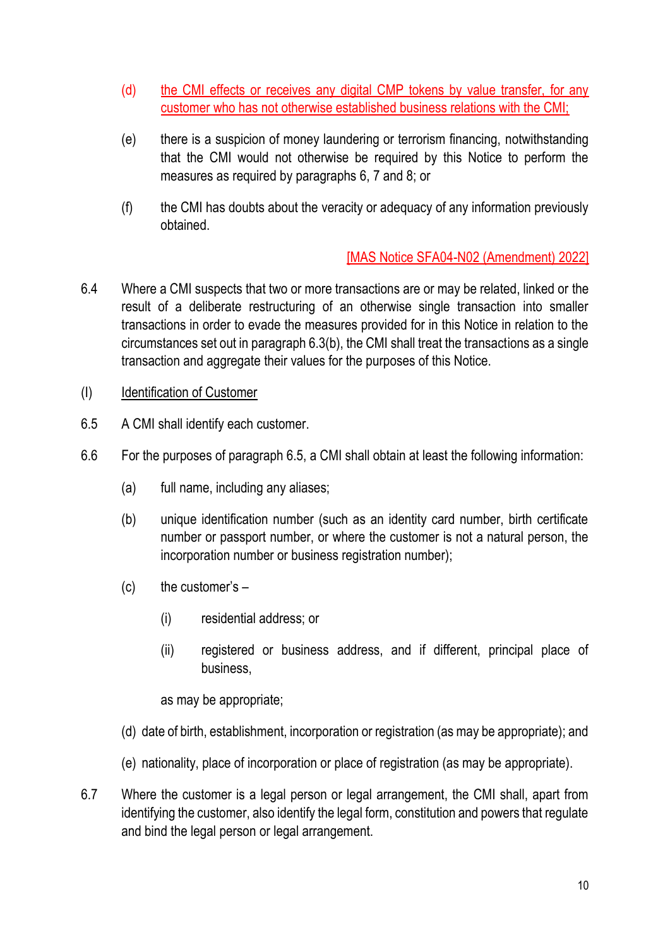- (d) the CMI effects or receives any digital CMP tokens by value transfer, for any customer who has not otherwise established business relations with the CMI;
- (e) there is a suspicion of money laundering or terrorism financing, notwithstanding that the CMI would not otherwise be required by this Notice to perform the measures as required by paragraphs 6, 7 and 8; or
- (f) the CMI has doubts about the veracity or adequacy of any information previously obtained.

- 6.4 Where a CMI suspects that two or more transactions are or may be related, linked or the result of a deliberate restructuring of an otherwise single transaction into smaller transactions in order to evade the measures provided for in this Notice in relation to the circumstances set out in paragraph 6.3(b), the CMI shall treat the transactions as a single transaction and aggregate their values for the purposes of this Notice.
- (I) Identification of Customer
- 6.5 A CMI shall identify each customer.
- 6.6 For the purposes of paragraph 6.5, a CMI shall obtain at least the following information:
	- (a) full name, including any aliases;
	- (b) unique identification number (such as an identity card number, birth certificate number or passport number, or where the customer is not a natural person, the incorporation number or business registration number);
	- $(c)$  the customer's  $-$ 
		- (i) residential address; or
		- (ii) registered or business address, and if different, principal place of business,

as may be appropriate;

- (d) date of birth, establishment, incorporation or registration (as may be appropriate); and
- (e) nationality, place of incorporation or place of registration (as may be appropriate).
- 6.7 Where the customer is a legal person or legal arrangement, the CMI shall, apart from identifying the customer, also identify the legal form, constitution and powers that regulate and bind the legal person or legal arrangement.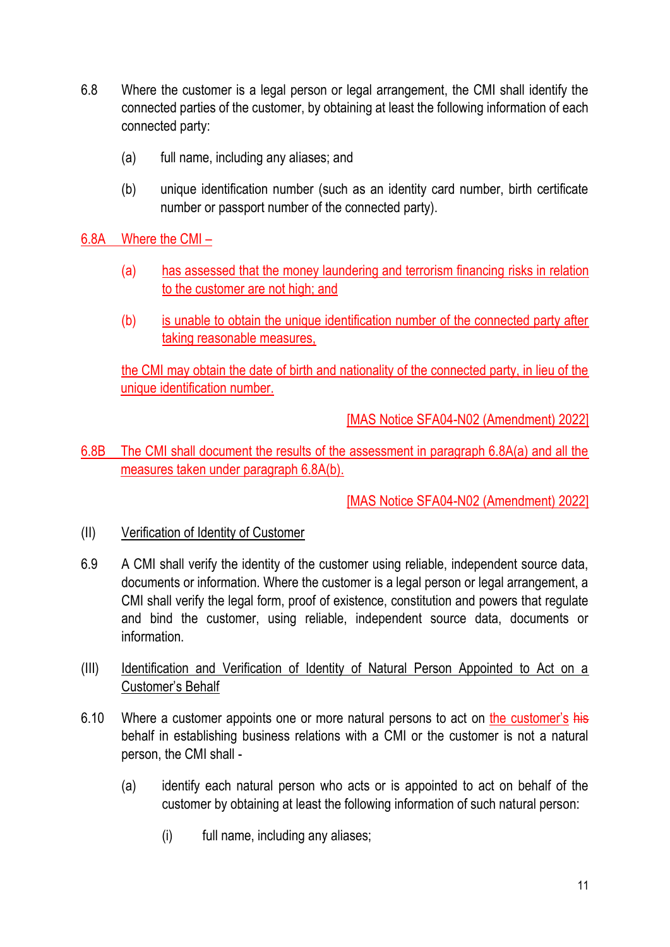- 6.8 Where the customer is a legal person or legal arrangement, the CMI shall identify the connected parties of the customer, by obtaining at least the following information of each connected party:
	- (a) full name, including any aliases; and
	- (b) unique identification number (such as an identity card number, birth certificate number or passport number of the connected party).

6.8A Where the CMI –

- (a) has assessed that the money laundering and terrorism financing risks in relation to the customer are not high; and
- (b) is unable to obtain the unique identification number of the connected party after taking reasonable measures,

the CMI may obtain the date of birth and nationality of the connected party, in lieu of the unique identification number.

[MAS Notice SFA04-N02 (Amendment) 2022]

6.8B The CMI shall document the results of the assessment in paragraph 6.8A(a) and all the measures taken under paragraph 6.8A(b).

- (II) Verification of Identity of Customer
- 6.9 A CMI shall verify the identity of the customer using reliable, independent source data, documents or information. Where the customer is a legal person or legal arrangement, a CMI shall verify the legal form, proof of existence, constitution and powers that regulate and bind the customer, using reliable, independent source data, documents or information.
- (III) Identification and Verification of Identity of Natural Person Appointed to Act on a Customer's Behalf
- 6.10 Where a customer appoints one or more natural persons to act on the customer's his behalf in establishing business relations with a CMI or the customer is not a natural person, the CMI shall -
	- (a) identify each natural person who acts or is appointed to act on behalf of the customer by obtaining at least the following information of such natural person:
		- (i) full name, including any aliases;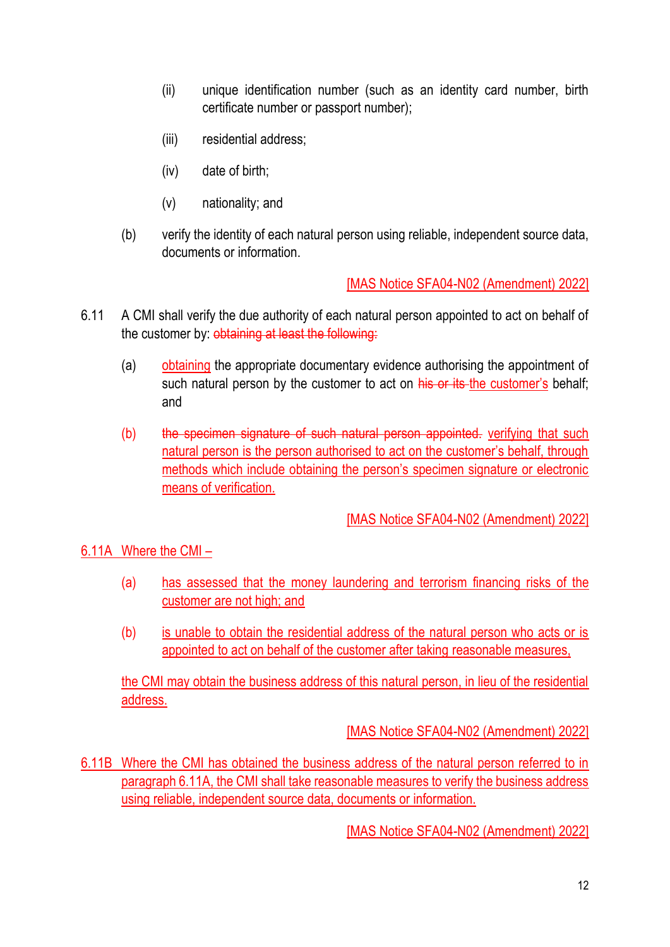- (ii) unique identification number (such as an identity card number, birth certificate number or passport number);
- (iii) residential address;
- (iv) date of birth;
- (v) nationality; and
- (b) verify the identity of each natural person using reliable, independent source data, documents or information.

- 6.11 A CMI shall verify the due authority of each natural person appointed to act on behalf of the customer by: obtaining at least the following:
	- (a) obtaining the appropriate documentary evidence authorising the appointment of such natural person by the customer to act on his or its the customer's behalf; and
	- (b) the specimen signature of such natural person appointed. verifying that such natural person is the person authorised to act on the customer's behalf, through methods which include obtaining the person's specimen signature or electronic means of verification.

[MAS Notice SFA04-N02 (Amendment) 2022]

6.11A Where the CMI –

- (a) has assessed that the money laundering and terrorism financing risks of the customer are not high; and
- (b) is unable to obtain the residential address of the natural person who acts or is appointed to act on behalf of the customer after taking reasonable measures,

the CMI may obtain the business address of this natural person, in lieu of the residential address.

[MAS Notice SFA04-N02 (Amendment) 2022]

6.11B Where the CMI has obtained the business address of the natural person referred to in paragraph 6.11A, the CMI shall take reasonable measures to verify the business address using reliable, independent source data, documents or information.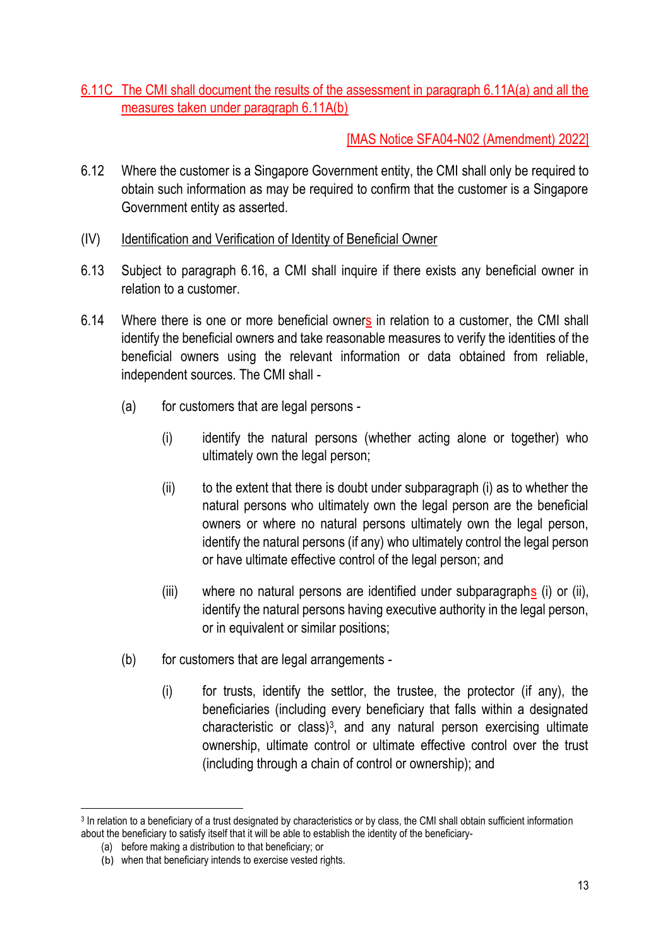## 6.11C The CMI shall document the results of the assessment in paragraph 6.11A(a) and all the measures taken under paragraph 6.11A(b)

- 6.12 Where the customer is a Singapore Government entity, the CMI shall only be required to obtain such information as may be required to confirm that the customer is a Singapore Government entity as asserted.
- (IV) Identification and Verification of Identity of Beneficial Owner
- 6.13 Subject to paragraph 6.16, a CMI shall inquire if there exists any beneficial owner in relation to a customer.
- 6.14 Where there is one or more beneficial owners in relation to a customer, the CMI shall identify the beneficial owners and take reasonable measures to verify the identities of the beneficial owners using the relevant information or data obtained from reliable, independent sources. The CMI shall -
	- (a) for customers that are legal persons
		- (i) identify the natural persons (whether acting alone or together) who ultimately own the legal person;
		- $(i)$  to the extent that there is doubt under subparagraph  $(i)$  as to whether the natural persons who ultimately own the legal person are the beneficial owners or where no natural persons ultimately own the legal person, identify the natural persons (if any) who ultimately control the legal person or have ultimate effective control of the legal person; and
		- (iii) where no natural persons are identified under subparagraphs (i) or (ii), identify the natural persons having executive authority in the legal person, or in equivalent or similar positions;
	- (b) for customers that are legal arrangements
		- (i) for trusts, identify the settlor, the trustee, the protector (if any), the beneficiaries (including every beneficiary that falls within a designated characteristic or class) $3$ , and any natural person exercising ultimate ownership, ultimate control or ultimate effective control over the trust (including through a chain of control or ownership); and

<sup>3</sup> In relation to a beneficiary of a trust designated by characteristics or by class, the CMI shall obtain sufficient information about the beneficiary to satisfy itself that it will be able to establish the identity of the beneficiary-

<sup>(</sup>a) before making a distribution to that beneficiary; or

<sup>(</sup>b) when that beneficiary intends to exercise vested rights.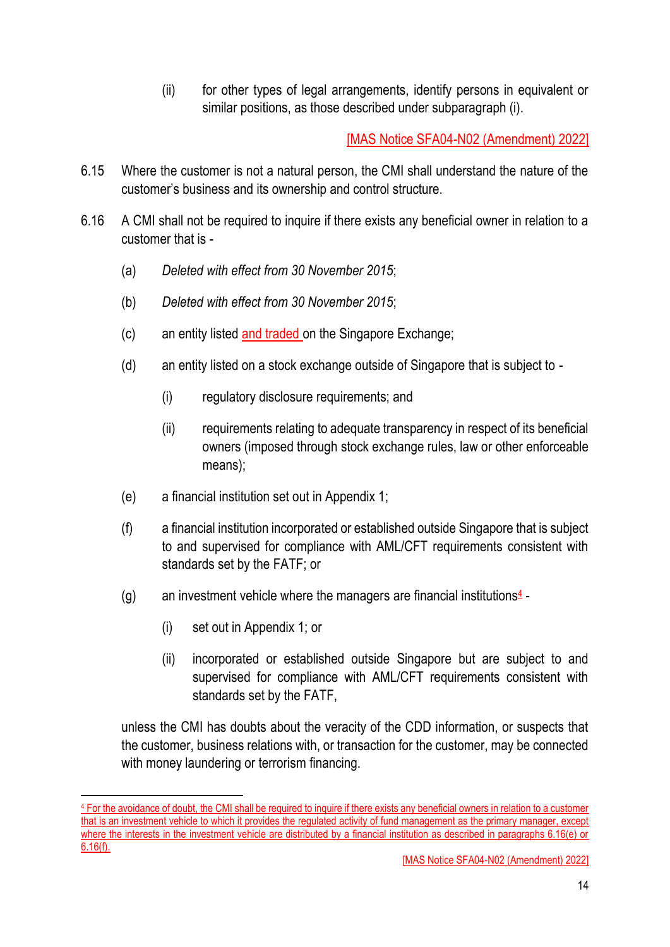(ii) for other types of legal arrangements, identify persons in equivalent or similar positions, as those described under subparagraph (i).

[MAS Notice SFA04-N02 (Amendment) 2022]

- 6.15 Where the customer is not a natural person, the CMI shall understand the nature of the customer's business and its ownership and control structure.
- 6.16 A CMI shall not be required to inquire if there exists any beneficial owner in relation to a customer that is -
	- (a) *Deleted with effect from 30 November 2015*;
	- (b) *Deleted with effect from 30 November 2015*;
	- (c) an entity listed and traded on the Singapore Exchange;
	- (d) an entity listed on a stock exchange outside of Singapore that is subject to
		- (i) regulatory disclosure requirements; and
		- (ii) requirements relating to adequate transparency in respect of its beneficial owners (imposed through stock exchange rules, law or other enforceable means);
	- (e) a financial institution set out in Appendix 1;
	- (f) a financial institution incorporated or established outside Singapore that is subject to and supervised for compliance with AML/CFT requirements consistent with standards set by the FATF; or
	- (g) an investment vehicle where the managers are financial institutions $4$ -
		- (i) set out in Appendix 1; or
		- (ii) incorporated or established outside Singapore but are subject to and supervised for compliance with AML/CFT requirements consistent with standards set by the FATF,

unless the CMI has doubts about the veracity of the CDD information, or suspects that the customer, business relations with, or transaction for the customer, may be connected with money laundering or terrorism financing.

<sup>4</sup> For the avoidance of doubt, the CMI shall be required to inquire if there exists any beneficial owners in relation to a customer that is an investment vehicle to which it provides the regulated activity of fund management as the primary manager, except where the interests in the investment vehicle are distributed by a financial institution as described in paragraphs 6.16(e) or 6.16(f).

<sup>[</sup>MAS Notice SFA04-N02 (Amendment) 2022]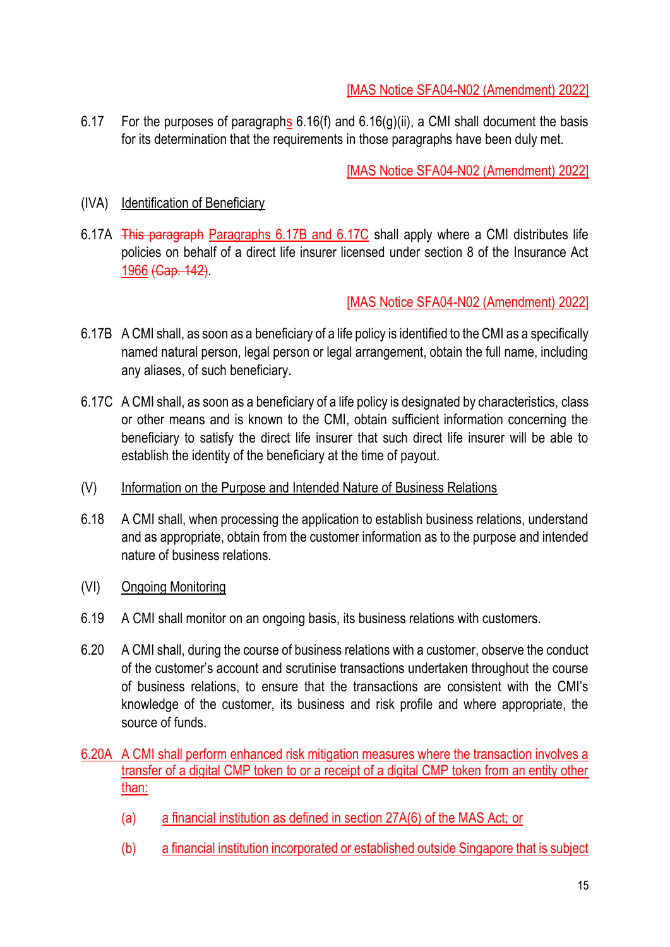6.17 For the purposes of paragraphs  $6.16(f)$  and  $6.16(g)(ii)$ , a CMI shall document the basis for its determination that the requirements in those paragraphs have been duly met.

[MAS Notice SFA04-N02 (Amendment) 2022]

### (IVA) Identification of Beneficiary

6.17A This paragraph Paragraphs 6.17B and 6.17C shall apply where a CMI distributes life policies on behalf of a direct life insurer licensed under section 8 of the Insurance Act 1966 (Cap. 142).

- 6.17B A CMI shall, as soon as a beneficiary of a life policy is identified to the CMI as a specifically named natural person, legal person or legal arrangement, obtain the full name, including any aliases, of such beneficiary.
- 6.17C A CMI shall, as soon as a beneficiary of a life policy is designated by characteristics, class or other means and is known to the CMI, obtain sufficient information concerning the beneficiary to satisfy the direct life insurer that such direct life insurer will be able to establish the identity of the beneficiary at the time of payout.
- (V) Information on the Purpose and Intended Nature of Business Relations
- 6.18 A CMI shall, when processing the application to establish business relations, understand and as appropriate, obtain from the customer information as to the purpose and intended nature of business relations.
- (VI) Ongoing Monitoring
- 6.19 A CMI shall monitor on an ongoing basis, its business relations with customers.
- 6.20 A CMI shall, during the course of business relations with a customer, observe the conduct of the customer's account and scrutinise transactions undertaken throughout the course of business relations, to ensure that the transactions are consistent with the CMI's knowledge of the customer, its business and risk profile and where appropriate, the source of funds.
- 6.20A A CMI shall perform enhanced risk mitigation measures where the transaction involves a transfer of a digital CMP token to or a receipt of a digital CMP token from an entity other than:
	- (a) a financial institution as defined in section 27A(6) of the MAS Act; or
	- (b) a financial institution incorporated or established outside Singapore that is subject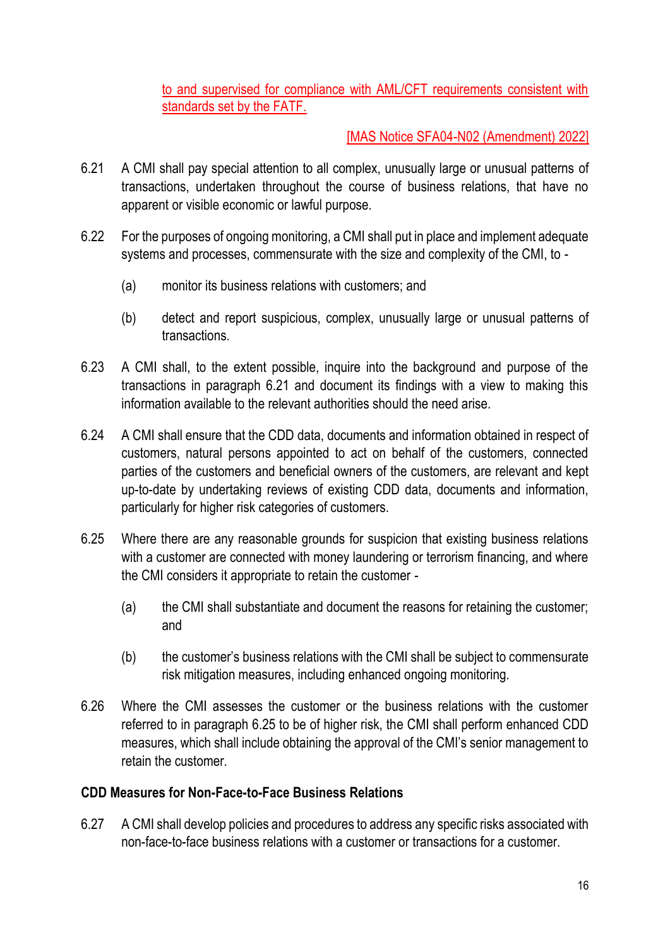to and supervised for compliance with AML/CFT requirements consistent with standards set by the FATF.

### [MAS Notice SFA04-N02 (Amendment) 2022]

- 6.21 A CMI shall pay special attention to all complex, unusually large or unusual patterns of transactions, undertaken throughout the course of business relations, that have no apparent or visible economic or lawful purpose.
- 6.22 For the purposes of ongoing monitoring, a CMI shall put in place and implement adequate systems and processes, commensurate with the size and complexity of the CMI, to -
	- (a) monitor its business relations with customers; and
	- (b) detect and report suspicious, complex, unusually large or unusual patterns of transactions.
- 6.23 A CMI shall, to the extent possible, inquire into the background and purpose of the transactions in paragraph 6.21 and document its findings with a view to making this information available to the relevant authorities should the need arise.
- 6.24 A CMI shall ensure that the CDD data, documents and information obtained in respect of customers, natural persons appointed to act on behalf of the customers, connected parties of the customers and beneficial owners of the customers, are relevant and kept up-to-date by undertaking reviews of existing CDD data, documents and information, particularly for higher risk categories of customers.
- 6.25 Where there are any reasonable grounds for suspicion that existing business relations with a customer are connected with money laundering or terrorism financing, and where the CMI considers it appropriate to retain the customer -
	- (a) the CMI shall substantiate and document the reasons for retaining the customer; and
	- (b) the customer's business relations with the CMI shall be subject to commensurate risk mitigation measures, including enhanced ongoing monitoring.
- 6.26 Where the CMI assesses the customer or the business relations with the customer referred to in paragraph 6.25 to be of higher risk, the CMI shall perform enhanced CDD measures, which shall include obtaining the approval of the CMI's senior management to retain the customer.

#### **CDD Measures for Non-Face-to-Face Business Relations**

6.27 A CMI shall develop policies and procedures to address any specific risks associated with non-face-to-face business relations with a customer or transactions for a customer.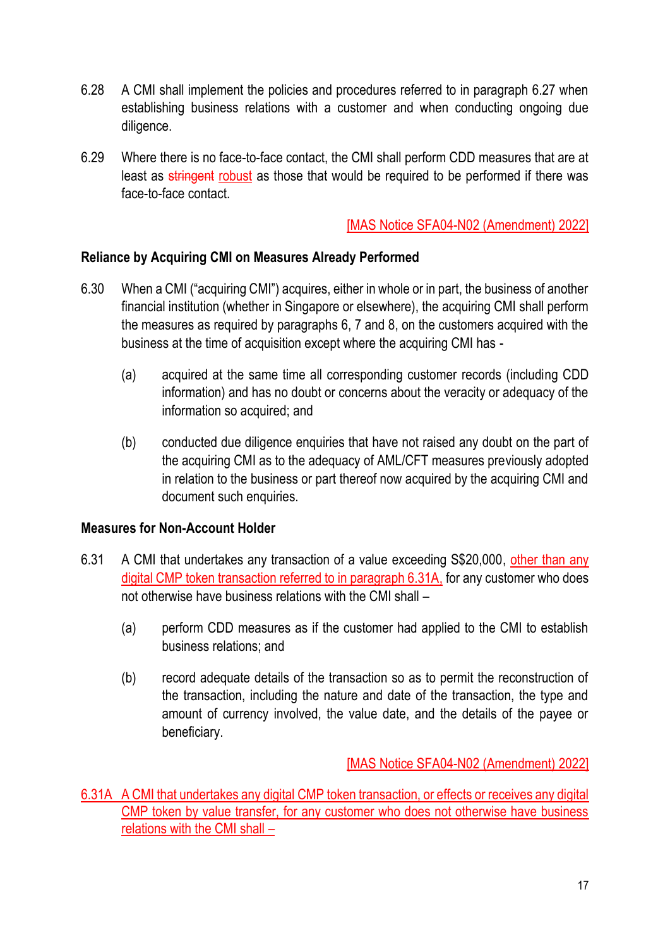- 6.28 A CMI shall implement the policies and procedures referred to in paragraph 6.27 when establishing business relations with a customer and when conducting ongoing due diligence.
- 6.29 Where there is no face-to-face contact, the CMI shall perform CDD measures that are at least as stringent robust as those that would be required to be performed if there was face-to-face contact.

#### **Reliance by Acquiring CMI on Measures Already Performed**

- 6.30 When a CMI ("acquiring CMI") acquires, either in whole or in part, the business of another financial institution (whether in Singapore or elsewhere), the acquiring CMI shall perform the measures as required by paragraphs 6, 7 and 8, on the customers acquired with the business at the time of acquisition except where the acquiring CMI has -
	- (a) acquired at the same time all corresponding customer records (including CDD information) and has no doubt or concerns about the veracity or adequacy of the information so acquired; and
	- (b) conducted due diligence enquiries that have not raised any doubt on the part of the acquiring CMI as to the adequacy of AML/CFT measures previously adopted in relation to the business or part thereof now acquired by the acquiring CMI and document such enquiries.

#### **Measures for Non-Account Holder**

- 6.31 A CMI that undertakes any transaction of a value exceeding S\$20,000, other than any digital CMP token transaction referred to in paragraph 6.31A, for any customer who does not otherwise have business relations with the CMI shall –
	- (a) perform CDD measures as if the customer had applied to the CMI to establish business relations; and
	- (b) record adequate details of the transaction so as to permit the reconstruction of the transaction, including the nature and date of the transaction, the type and amount of currency involved, the value date, and the details of the payee or beneficiary.

[MAS Notice SFA04-N02 (Amendment) 2022]

6.31A A CMI that undertakes any digital CMP token transaction, or effects or receives any digital CMP token by value transfer, for any customer who does not otherwise have business relations with the CMI shall –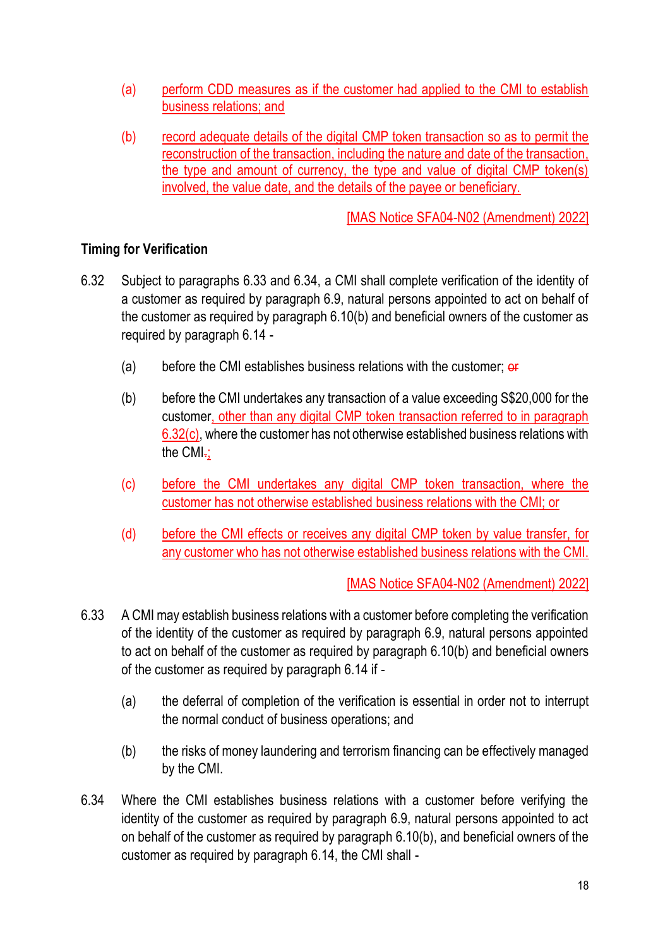- (a) perform CDD measures as if the customer had applied to the CMI to establish business relations; and
- (b) record adequate details of the digital CMP token transaction so as to permit the reconstruction of the transaction, including the nature and date of the transaction, the type and amount of currency, the type and value of digital CMP token(s) involved, the value date, and the details of the payee or beneficiary.

## **Timing for Verification**

- 6.32 Subject to paragraphs 6.33 and 6.34, a CMI shall complete verification of the identity of a customer as required by paragraph 6.9, natural persons appointed to act on behalf of the customer as required by paragraph 6.10(b) and beneficial owners of the customer as required by paragraph 6.14 -
	- (a) before the CMI establishes business relations with the customer;  $\theta$
	- (b) before the CMI undertakes any transaction of a value exceeding S\$20,000 for the customer, other than any digital CMP token transaction referred to in paragraph 6.32(c), where the customer has not otherwise established business relations with the CMI-;
	- (c) before the CMI undertakes any digital CMP token transaction, where the customer has not otherwise established business relations with the CMI; or
	- (d) before the CMI effects or receives any digital CMP token by value transfer, for any customer who has not otherwise established business relations with the CMI.

- 6.33 A CMI may establish business relations with a customer before completing the verification of the identity of the customer as required by paragraph 6.9, natural persons appointed to act on behalf of the customer as required by paragraph 6.10(b) and beneficial owners of the customer as required by paragraph 6.14 if -
	- (a) the deferral of completion of the verification is essential in order not to interrupt the normal conduct of business operations; and
	- (b) the risks of money laundering and terrorism financing can be effectively managed by the CMI.
- 6.34 Where the CMI establishes business relations with a customer before verifying the identity of the customer as required by paragraph 6.9, natural persons appointed to act on behalf of the customer as required by paragraph 6.10(b), and beneficial owners of the customer as required by paragraph 6.14, the CMI shall -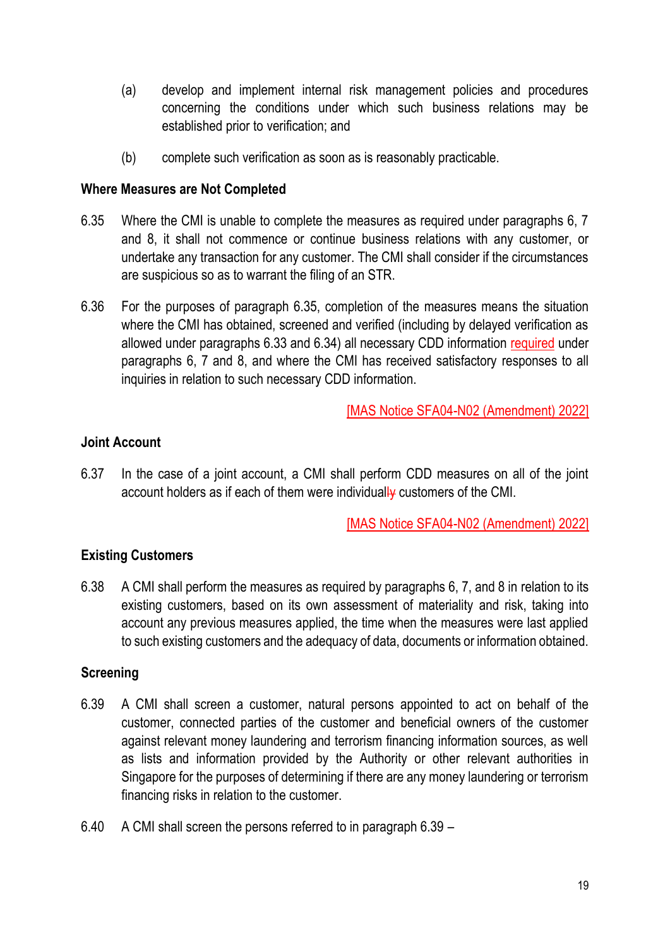- (a) develop and implement internal risk management policies and procedures concerning the conditions under which such business relations may be established prior to verification; and
- (b) complete such verification as soon as is reasonably practicable.

#### **Where Measures are Not Completed**

- 6.35 Where the CMI is unable to complete the measures as required under paragraphs 6, 7 and 8, it shall not commence or continue business relations with any customer, or undertake any transaction for any customer. The CMI shall consider if the circumstances are suspicious so as to warrant the filing of an STR.
- 6.36 For the purposes of paragraph 6.35, completion of the measures means the situation where the CMI has obtained, screened and verified (including by delayed verification as allowed under paragraphs 6.33 and 6.34) all necessary CDD information required under paragraphs 6, 7 and 8, and where the CMI has received satisfactory responses to all inquiries in relation to such necessary CDD information.

[MAS Notice SFA04-N02 (Amendment) 2022]

### **Joint Account**

6.37 In the case of a joint account, a CMI shall perform CDD measures on all of the joint account holders as if each of them were individually customers of the CMI.

[MAS Notice SFA04-N02 (Amendment) 2022]

## **Existing Customers**

6.38 A CMI shall perform the measures as required by paragraphs 6, 7, and 8 in relation to its existing customers, based on its own assessment of materiality and risk, taking into account any previous measures applied, the time when the measures were last applied to such existing customers and the adequacy of data, documents or information obtained.

#### **Screening**

- 6.39 A CMI shall screen a customer, natural persons appointed to act on behalf of the customer, connected parties of the customer and beneficial owners of the customer against relevant money laundering and terrorism financing information sources, as well as lists and information provided by the Authority or other relevant authorities in Singapore for the purposes of determining if there are any money laundering or terrorism financing risks in relation to the customer.
- 6.40 A CMI shall screen the persons referred to in paragraph 6.39 –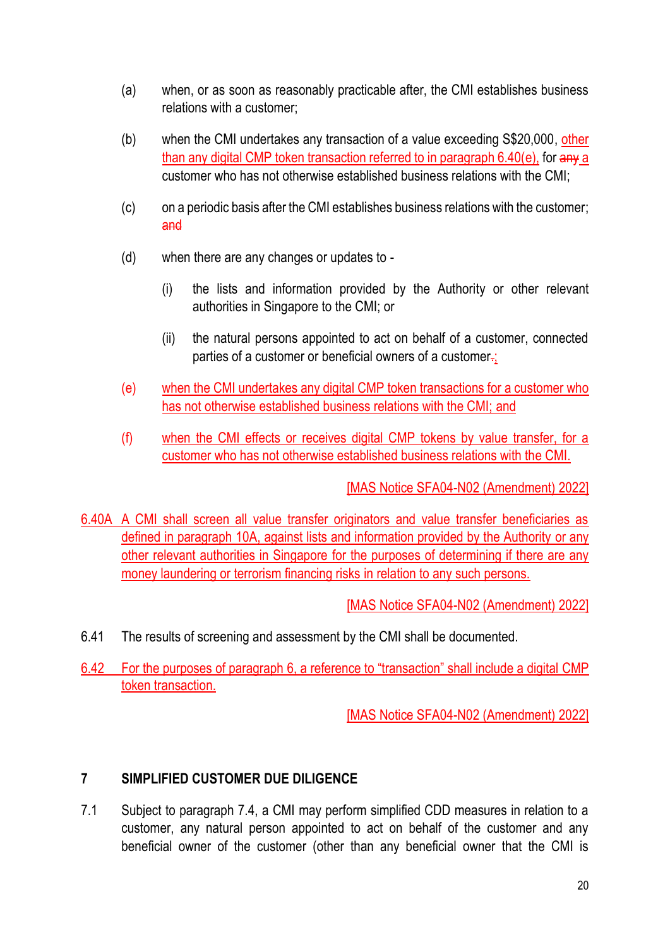- (a) when, or as soon as reasonably practicable after, the CMI establishes business relations with a customer;
- (b) when the CMI undertakes any transaction of a value exceeding S\$20,000, other than any digital CMP token transaction referred to in paragraph 6.40(e), for any a customer who has not otherwise established business relations with the CMI;
- (c) on a periodic basis after the CMI establishes business relations with the customer; and
- (d) when there are any changes or updates to
	- (i) the lists and information provided by the Authority or other relevant authorities in Singapore to the CMI; or
	- (ii) the natural persons appointed to act on behalf of a customer, connected parties of a customer or beneficial owners of a customer-;
- (e) when the CMI undertakes any digital CMP token transactions for a customer who has not otherwise established business relations with the CMI; and
- (f) when the CMI effects or receives digital CMP tokens by value transfer, for a customer who has not otherwise established business relations with the CMI.

6.40A A CMI shall screen all value transfer originators and value transfer beneficiaries as defined in paragraph 10A, against lists and information provided by the Authority or any other relevant authorities in Singapore for the purposes of determining if there are any money laundering or terrorism financing risks in relation to any such persons.

[MAS Notice SFA04-N02 (Amendment) 2022]

- 6.41 The results of screening and assessment by the CMI shall be documented.
- 6.42 For the purposes of paragraph 6, a reference to "transaction" shall include a digital CMP token transaction.

[MAS Notice SFA04-N02 (Amendment) 2022]

## **7 SIMPLIFIED CUSTOMER DUE DILIGENCE**

7.1 Subject to paragraph 7.4, a CMI may perform simplified CDD measures in relation to a customer, any natural person appointed to act on behalf of the customer and any beneficial owner of the customer (other than any beneficial owner that the CMI is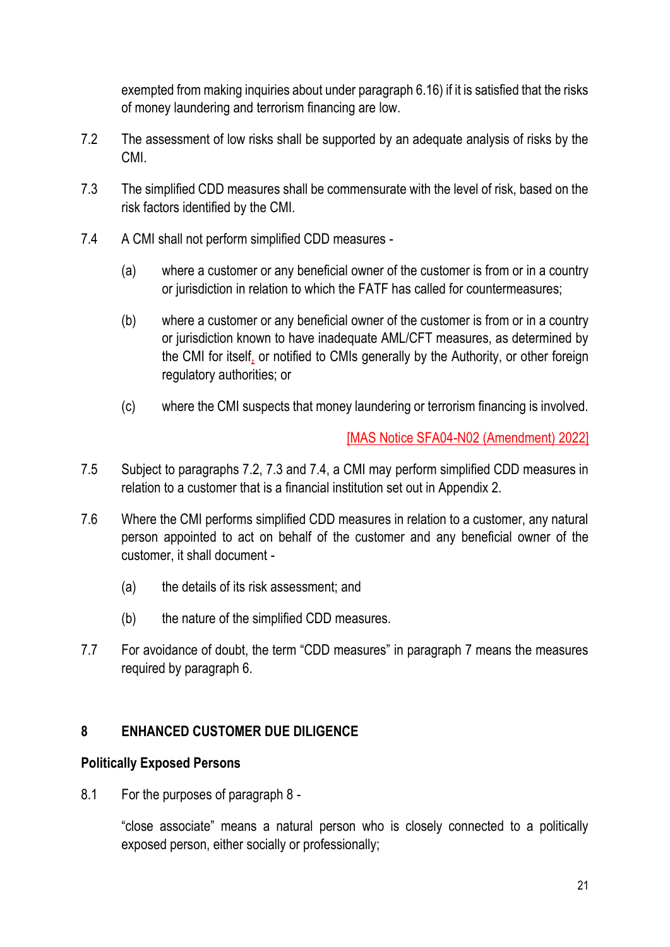exempted from making inquiries about under paragraph 6.16) if it is satisfied that the risks of money laundering and terrorism financing are low.

- 7.2 The assessment of low risks shall be supported by an adequate analysis of risks by the CMI.
- 7.3 The simplified CDD measures shall be commensurate with the level of risk, based on the risk factors identified by the CMI.
- 7.4 A CMI shall not perform simplified CDD measures
	- (a) where a customer or any beneficial owner of the customer is from or in a country or jurisdiction in relation to which the FATF has called for countermeasures;
	- (b) where a customer or any beneficial owner of the customer is from or in a country or jurisdiction known to have inadequate AML/CFT measures, as determined by the CMI for itself, or notified to CMIs generally by the Authority, or other foreign regulatory authorities; or
	- (c) where the CMI suspects that money laundering or terrorism financing is involved.

[MAS Notice SFA04-N02 (Amendment) 2022]

- 7.5 Subject to paragraphs 7.2, 7.3 and 7.4, a CMI may perform simplified CDD measures in relation to a customer that is a financial institution set out in Appendix 2.
- 7.6 Where the CMI performs simplified CDD measures in relation to a customer, any natural person appointed to act on behalf of the customer and any beneficial owner of the customer, it shall document -
	- (a) the details of its risk assessment; and
	- (b) the nature of the simplified CDD measures.
- 7.7 For avoidance of doubt, the term "CDD measures" in paragraph 7 means the measures required by paragraph 6.

## **8 ENHANCED CUSTOMER DUE DILIGENCE**

#### **Politically Exposed Persons**

8.1 For the purposes of paragraph 8 -

"close associate" means a natural person who is closely connected to a politically exposed person, either socially or professionally;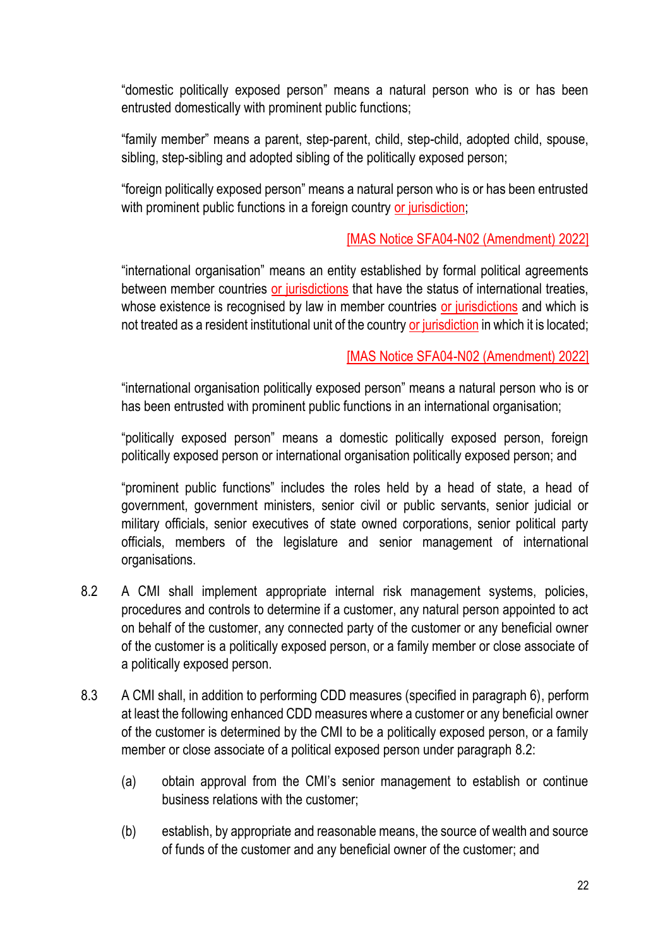"domestic politically exposed person" means a natural person who is or has been entrusted domestically with prominent public functions;

"family member" means a parent, step-parent, child, step-child, adopted child, spouse, sibling, step-sibling and adopted sibling of the politically exposed person;

"foreign politically exposed person" means a natural person who is or has been entrusted with prominent public functions in a foreign country or jurisdiction;

### [MAS Notice SFA04-N02 (Amendment) 2022]

"international organisation" means an entity established by formal political agreements between member countries or jurisdictions that have the status of international treaties, whose existence is recognised by law in member countries or jurisdictions and which is not treated as a resident institutional unit of the country or jurisdiction in which it is located;

### [MAS Notice SFA04-N02 (Amendment) 2022]

"international organisation politically exposed person" means a natural person who is or has been entrusted with prominent public functions in an international organisation;

"politically exposed person" means a domestic politically exposed person, foreign politically exposed person or international organisation politically exposed person; and

"prominent public functions" includes the roles held by a head of state, a head of government, government ministers, senior civil or public servants, senior judicial or military officials, senior executives of state owned corporations, senior political party officials, members of the legislature and senior management of international organisations.

- 8.2 A CMI shall implement appropriate internal risk management systems, policies, procedures and controls to determine if a customer, any natural person appointed to act on behalf of the customer, any connected party of the customer or any beneficial owner of the customer is a politically exposed person, or a family member or close associate of a politically exposed person.
- 8.3 A CMI shall, in addition to performing CDD measures (specified in paragraph 6), perform at least the following enhanced CDD measures where a customer or any beneficial owner of the customer is determined by the CMI to be a politically exposed person, or a family member or close associate of a political exposed person under paragraph 8.2:
	- (a) obtain approval from the CMI's senior management to establish or continue business relations with the customer;
	- (b) establish, by appropriate and reasonable means, the source of wealth and source of funds of the customer and any beneficial owner of the customer; and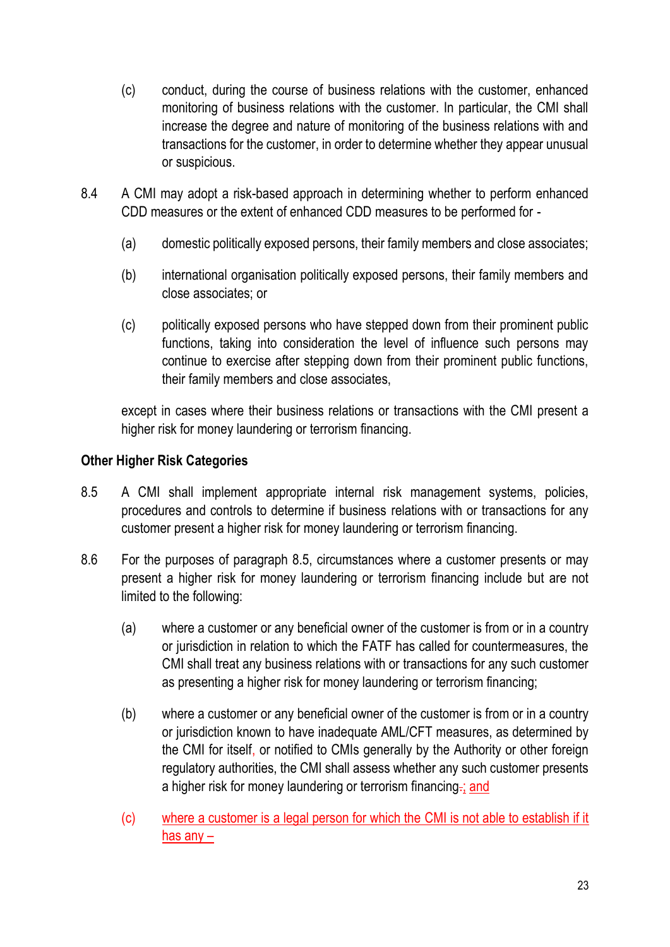- (c) conduct, during the course of business relations with the customer, enhanced monitoring of business relations with the customer. In particular, the CMI shall increase the degree and nature of monitoring of the business relations with and transactions for the customer, in order to determine whether they appear unusual or suspicious.
- 8.4 A CMI may adopt a risk-based approach in determining whether to perform enhanced CDD measures or the extent of enhanced CDD measures to be performed for -
	- (a) domestic politically exposed persons, their family members and close associates;
	- (b) international organisation politically exposed persons, their family members and close associates; or
	- (c) politically exposed persons who have stepped down from their prominent public functions, taking into consideration the level of influence such persons may continue to exercise after stepping down from their prominent public functions, their family members and close associates,

except in cases where their business relations or transactions with the CMI present a higher risk for money laundering or terrorism financing.

### **Other Higher Risk Categories**

- 8.5 A CMI shall implement appropriate internal risk management systems, policies, procedures and controls to determine if business relations with or transactions for any customer present a higher risk for money laundering or terrorism financing.
- 8.6 For the purposes of paragraph 8.5, circumstances where a customer presents or may present a higher risk for money laundering or terrorism financing include but are not limited to the following:
	- (a) where a customer or any beneficial owner of the customer is from or in a country or jurisdiction in relation to which the FATF has called for countermeasures, the CMI shall treat any business relations with or transactions for any such customer as presenting a higher risk for money laundering or terrorism financing;
	- (b) where a customer or any beneficial owner of the customer is from or in a country or jurisdiction known to have inadequate AML/CFT measures, as determined by the CMI for itself, or notified to CMIs generally by the Authority or other foreign regulatory authorities, the CMI shall assess whether any such customer presents a higher risk for money laundering or terrorism financing.; and
	- (c) where a customer is a legal person for which the CMI is not able to establish if it has any –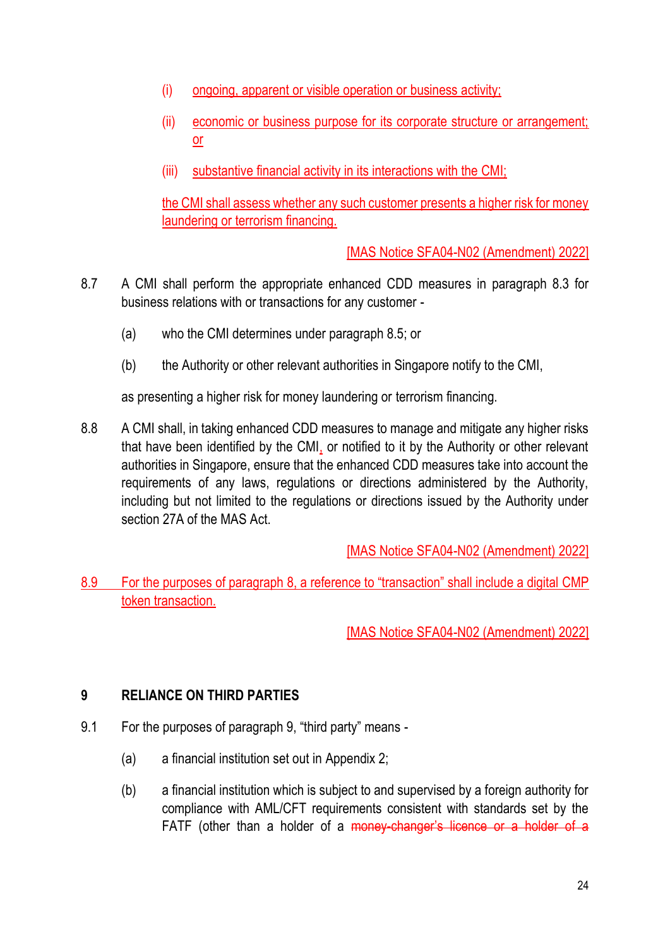- (i) ongoing, apparent or visible operation or business activity;
- (ii) economic or business purpose for its corporate structure or arrangement; or
- (iii) substantive financial activity in its interactions with the CMI;

the CMI shall assess whether any such customer presents a higher risk for money laundering or terrorism financing.

[MAS Notice SFA04-N02 (Amendment) 2022]

- 8.7 A CMI shall perform the appropriate enhanced CDD measures in paragraph 8.3 for business relations with or transactions for any customer -
	- (a) who the CMI determines under paragraph 8.5; or
	- (b) the Authority or other relevant authorities in Singapore notify to the CMI,

as presenting a higher risk for money laundering or terrorism financing.

8.8 A CMI shall, in taking enhanced CDD measures to manage and mitigate any higher risks that have been identified by the CMI, or notified to it by the Authority or other relevant authorities in Singapore, ensure that the enhanced CDD measures take into account the requirements of any laws, regulations or directions administered by the Authority, including but not limited to the regulations or directions issued by the Authority under section 27A of the MAS Act.

[MAS Notice SFA04-N02 (Amendment) 2022]

8.9 For the purposes of paragraph 8, a reference to "transaction" shall include a digital CMP token transaction.

[MAS Notice SFA04-N02 (Amendment) 2022]

## **9 RELIANCE ON THIRD PARTIES**

- 9.1 For the purposes of paragraph 9, "third party" means
	- (a) a financial institution set out in Appendix 2;
	- (b) a financial institution which is subject to and supervised by a foreign authority for compliance with AML/CFT requirements consistent with standards set by the FATF (other than a holder of a money-changer's licence or a holder of a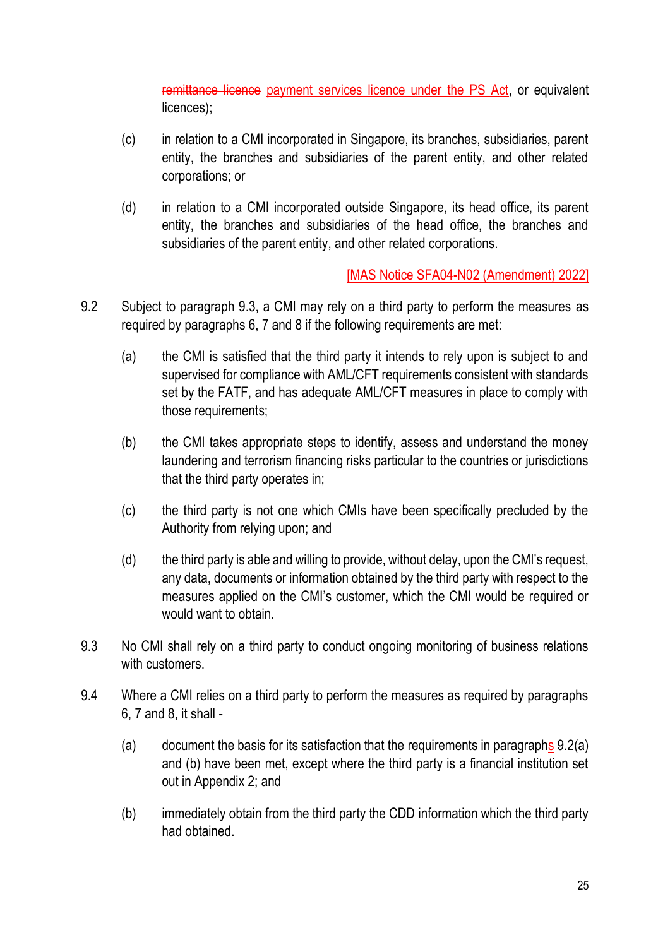remittance licence payment services licence under the PS Act, or equivalent licences);

- (c) in relation to a CMI incorporated in Singapore, its branches, subsidiaries, parent entity, the branches and subsidiaries of the parent entity, and other related corporations; or
- (d) in relation to a CMI incorporated outside Singapore, its head office, its parent entity, the branches and subsidiaries of the head office, the branches and subsidiaries of the parent entity, and other related corporations.

- 9.2 Subject to paragraph 9.3, a CMI may rely on a third party to perform the measures as required by paragraphs 6, 7 and 8 if the following requirements are met:
	- (a) the CMI is satisfied that the third party it intends to rely upon is subject to and supervised for compliance with AML/CFT requirements consistent with standards set by the FATF, and has adequate AML/CFT measures in place to comply with those requirements;
	- (b) the CMI takes appropriate steps to identify, assess and understand the money laundering and terrorism financing risks particular to the countries or jurisdictions that the third party operates in;
	- (c) the third party is not one which CMIs have been specifically precluded by the Authority from relying upon; and
	- (d) the third party is able and willing to provide, without delay, upon the CMI's request, any data, documents or information obtained by the third party with respect to the measures applied on the CMI's customer, which the CMI would be required or would want to obtain.
- 9.3 No CMI shall rely on a third party to conduct ongoing monitoring of business relations with customers.
- 9.4 Where a CMI relies on a third party to perform the measures as required by paragraphs 6, 7 and 8, it shall -
	- (a) document the basis for its satisfaction that the requirements in paragraphs 9.2(a) and (b) have been met, except where the third party is a financial institution set out in Appendix 2; and
	- (b) immediately obtain from the third party the CDD information which the third party had obtained.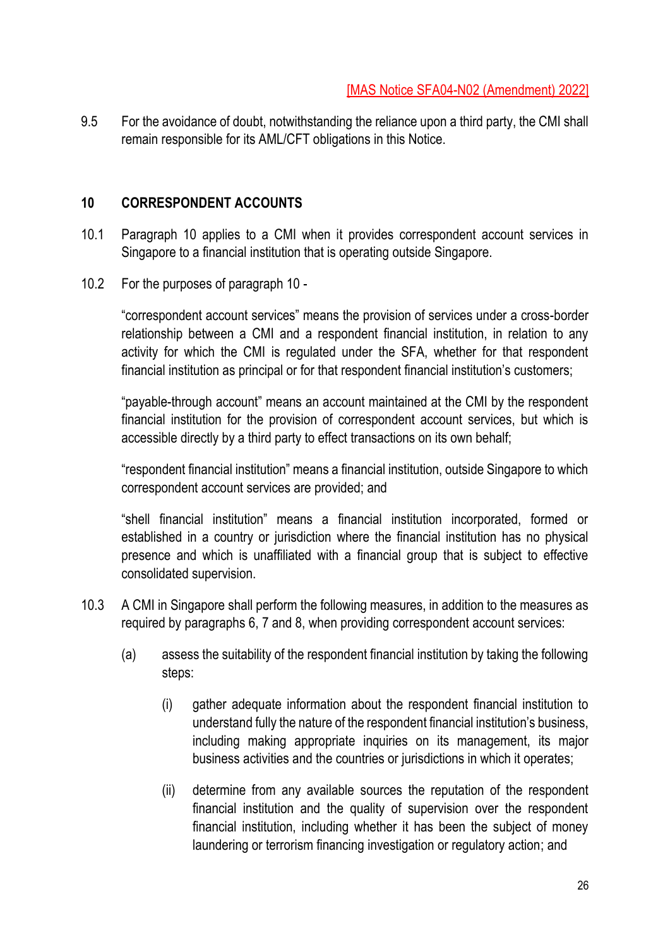9.5 For the avoidance of doubt, notwithstanding the reliance upon a third party, the CMI shall remain responsible for its AML/CFT obligations in this Notice.

### **10 CORRESPONDENT ACCOUNTS**

- 10.1 Paragraph 10 applies to a CMI when it provides correspondent account services in Singapore to a financial institution that is operating outside Singapore.
- 10.2 For the purposes of paragraph 10 -

"correspondent account services" means the provision of services under a cross-border relationship between a CMI and a respondent financial institution, in relation to any activity for which the CMI is regulated under the SFA, whether for that respondent financial institution as principal or for that respondent financial institution's customers;

"payable-through account" means an account maintained at the CMI by the respondent financial institution for the provision of correspondent account services, but which is accessible directly by a third party to effect transactions on its own behalf;

"respondent financial institution" means a financial institution, outside Singapore to which correspondent account services are provided; and

"shell financial institution" means a financial institution incorporated, formed or established in a country or jurisdiction where the financial institution has no physical presence and which is unaffiliated with a financial group that is subject to effective consolidated supervision.

- 10.3 A CMI in Singapore shall perform the following measures, in addition to the measures as required by paragraphs 6, 7 and 8, when providing correspondent account services:
	- (a) assess the suitability of the respondent financial institution by taking the following steps:
		- (i) gather adequate information about the respondent financial institution to understand fully the nature of the respondent financial institution's business, including making appropriate inquiries on its management, its major business activities and the countries or jurisdictions in which it operates;
		- (ii) determine from any available sources the reputation of the respondent financial institution and the quality of supervision over the respondent financial institution, including whether it has been the subject of money laundering or terrorism financing investigation or regulatory action; and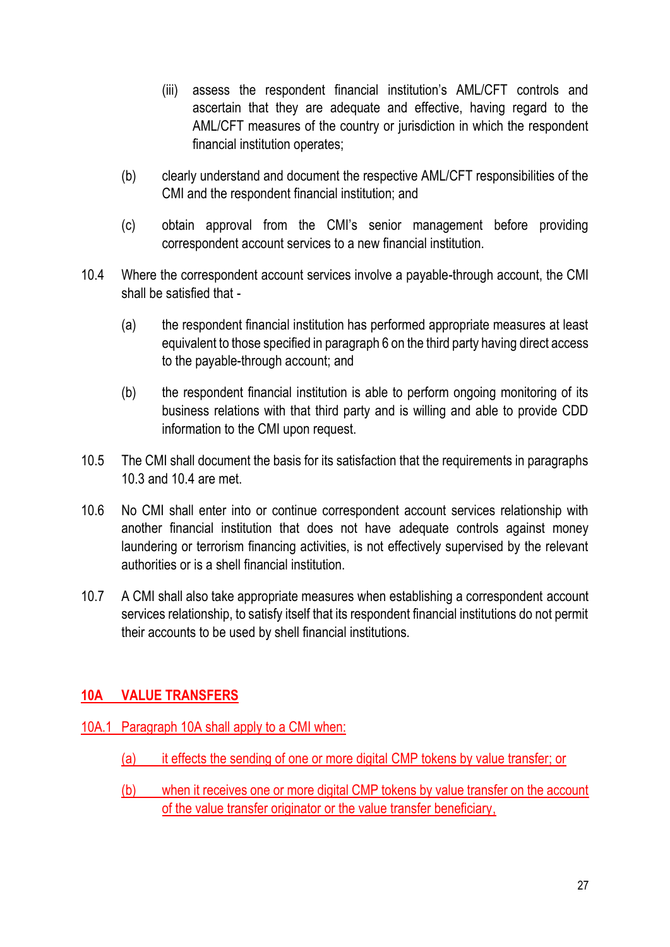- (iii) assess the respondent financial institution's AML/CFT controls and ascertain that they are adequate and effective, having regard to the AML/CFT measures of the country or jurisdiction in which the respondent financial institution operates;
- (b) clearly understand and document the respective AML/CFT responsibilities of the CMI and the respondent financial institution; and
- (c) obtain approval from the CMI's senior management before providing correspondent account services to a new financial institution.
- 10.4 Where the correspondent account services involve a payable-through account, the CMI shall be satisfied that -
	- (a) the respondent financial institution has performed appropriate measures at least equivalent to those specified in paragraph 6 on the third party having direct access to the payable-through account; and
	- (b) the respondent financial institution is able to perform ongoing monitoring of its business relations with that third party and is willing and able to provide CDD information to the CMI upon request.
- 10.5 The CMI shall document the basis for its satisfaction that the requirements in paragraphs 10.3 and 10.4 are met.
- 10.6 No CMI shall enter into or continue correspondent account services relationship with another financial institution that does not have adequate controls against money laundering or terrorism financing activities, is not effectively supervised by the relevant authorities or is a shell financial institution.
- 10.7 A CMI shall also take appropriate measures when establishing a correspondent account services relationship, to satisfy itself that its respondent financial institutions do not permit their accounts to be used by shell financial institutions.

## **10A VALUE TRANSFERS**

- 10A.1 Paragraph 10A shall apply to a CMI when:
	- (a) it effects the sending of one or more digital CMP tokens by value transfer; or
	- (b) when it receives one or more digital CMP tokens by value transfer on the account of the value transfer originator or the value transfer beneficiary,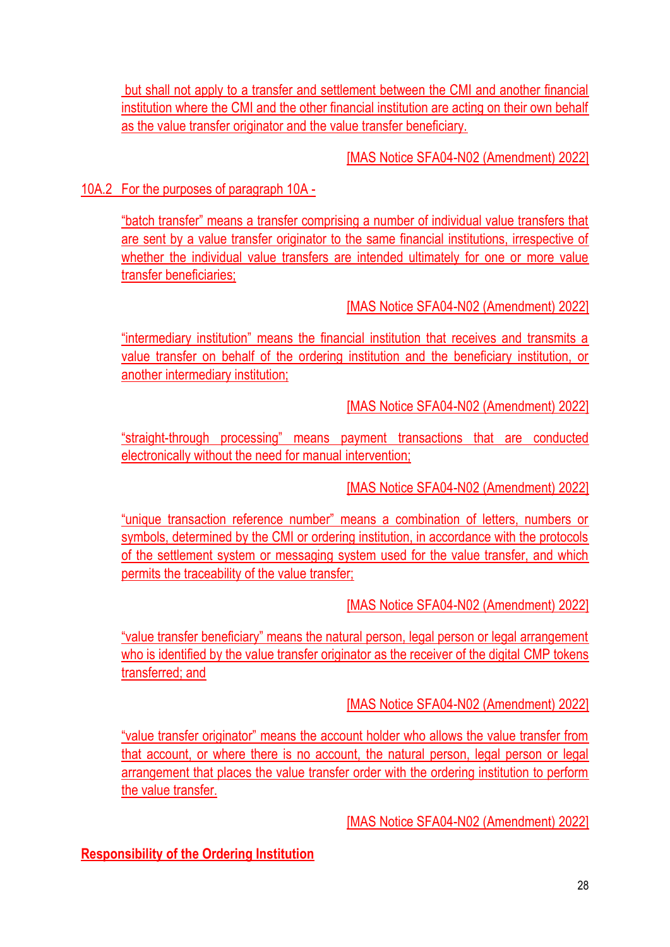but shall not apply to a transfer and settlement between the CMI and another financial institution where the CMI and the other financial institution are acting on their own behalf as the value transfer originator and the value transfer beneficiary.

[MAS Notice SFA04-N02 (Amendment) 2022]

## 10A.2 For the purposes of paragraph 10A -

"batch transfer" means a transfer comprising a number of individual value transfers that are sent by a value transfer originator to the same financial institutions, irrespective of whether the individual value transfers are intended ultimately for one or more value transfer beneficiaries;

[MAS Notice SFA04-N02 (Amendment) 2022]

"intermediary institution" means the financial institution that receives and transmits a value transfer on behalf of the ordering institution and the beneficiary institution, or another intermediary institution;

[MAS Notice SFA04-N02 (Amendment) 2022]

"straight-through processing" means payment transactions that are conducted electronically without the need for manual intervention;

[MAS Notice SFA04-N02 (Amendment) 2022]

"unique transaction reference number" means a combination of letters, numbers or symbols, determined by the CMI or ordering institution, in accordance with the protocols of the settlement system or messaging system used for the value transfer, and which permits the traceability of the value transfer;

[MAS Notice SFA04-N02 (Amendment) 2022]

"value transfer beneficiary" means the natural person, legal person or legal arrangement who is identified by the value transfer originator as the receiver of the digital CMP tokens transferred; and

[MAS Notice SFA04-N02 (Amendment) 2022]

"value transfer originator" means the account holder who allows the value transfer from that account, or where there is no account, the natural person, legal person or legal arrangement that places the value transfer order with the ordering institution to perform the value transfer.

[MAS Notice SFA04-N02 (Amendment) 2022]

**Responsibility of the Ordering Institution**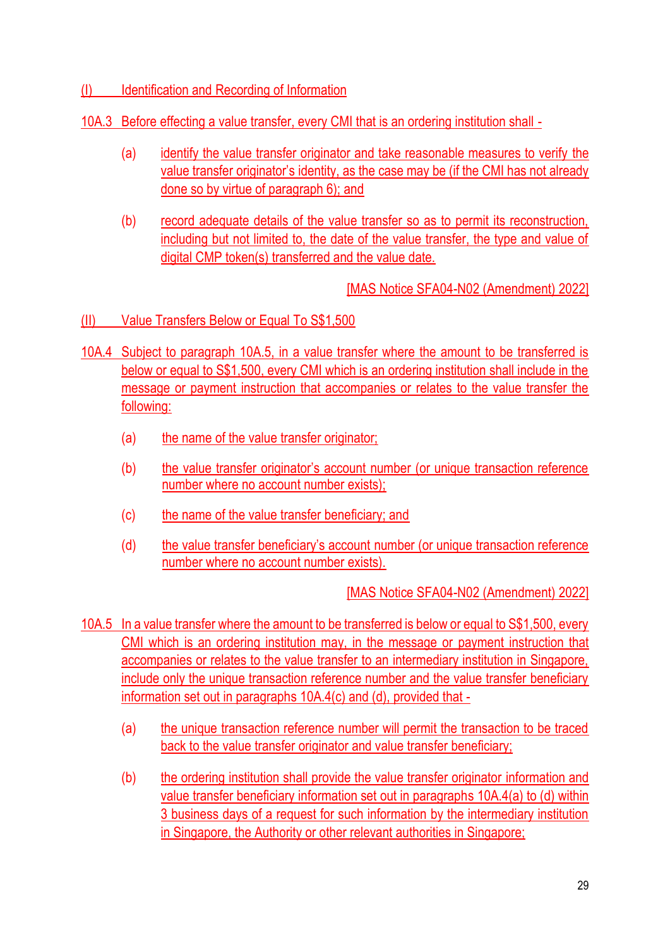## (I) Identification and Recording of Information

### 10A.3 Before effecting a value transfer, every CMI that is an ordering institution shall -

- (a) identify the value transfer originator and take reasonable measures to verify the value transfer originator's identity, as the case may be (if the CMI has not already done so by virtue of paragraph 6); and
- (b) record adequate details of the value transfer so as to permit its reconstruction, including but not limited to, the date of the value transfer, the type and value of digital CMP token(s) transferred and the value date.

[MAS Notice SFA04-N02 (Amendment) 2022]

- (II) Value Transfers Below or Equal To S\$1,500
- 10A.4 Subject to paragraph 10A.5, in a value transfer where the amount to be transferred is below or equal to S\$1,500, every CMI which is an ordering institution shall include in the message or payment instruction that accompanies or relates to the value transfer the following:
	- (a) the name of the value transfer originator;
	- (b) the value transfer originator's account number (or unique transaction reference number where no account number exists);
	- (c) the name of the value transfer beneficiary; and
	- (d) the value transfer beneficiary's account number (or unique transaction reference number where no account number exists).

- 10A.5 In a value transfer where the amount to be transferred is below or equal to S\$1,500, every CMI which is an ordering institution may, in the message or payment instruction that accompanies or relates to the value transfer to an intermediary institution in Singapore, include only the unique transaction reference number and the value transfer beneficiary information set out in paragraphs 10A.4(c) and (d), provided that -
	- (a) the unique transaction reference number will permit the transaction to be traced back to the value transfer originator and value transfer beneficiary;
	- (b) the ordering institution shall provide the value transfer originator information and value transfer beneficiary information set out in paragraphs 10A.4(a) to (d) within 3 business days of a request for such information by the intermediary institution in Singapore, the Authority or other relevant authorities in Singapore;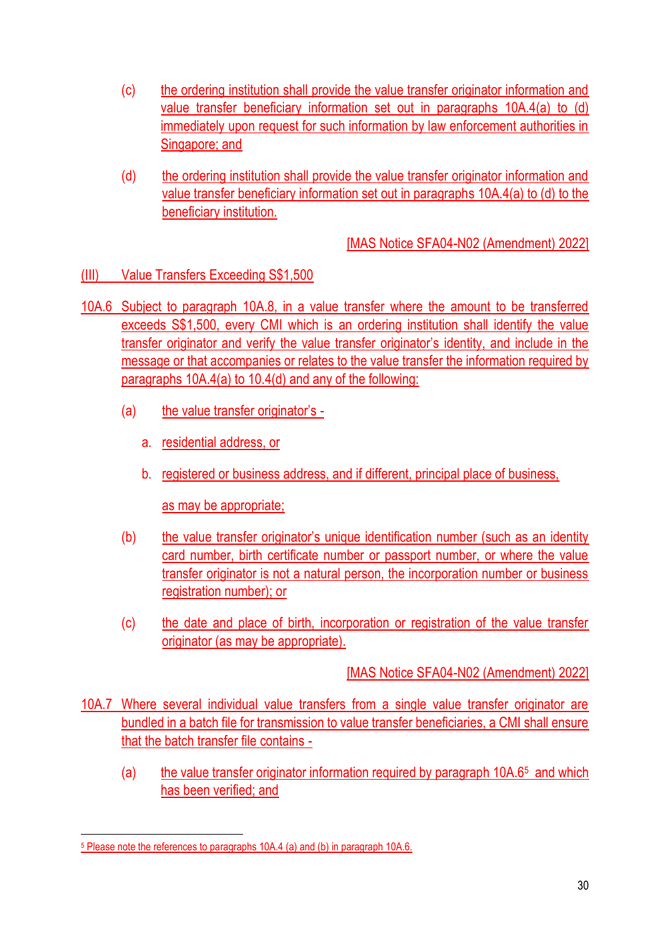- (c) the ordering institution shall provide the value transfer originator information and value transfer beneficiary information set out in paragraphs 10A.4(a) to (d) immediately upon request for such information by law enforcement authorities in Singapore; and
- (d) the ordering institution shall provide the value transfer originator information and value transfer beneficiary information set out in paragraphs 10A.4(a) to (d) to the beneficiary institution.

## (III) Value Transfers Exceeding S\$1,500

- 10A.6 Subject to paragraph 10A.8, in a value transfer where the amount to be transferred exceeds S\$1,500, every CMI which is an ordering institution shall identify the value transfer originator and verify the value transfer originator's identity, and include in the message or that accompanies or relates to the value transfer the information required by paragraphs 10A.4(a) to 10.4(d) and any of the following:
	- (a) the value transfer originator's
		- a. residential address, or
		- b. registered or business address, and if different, principal place of business,

as may be appropriate;

- (b) the value transfer originator's unique identification number (such as an identity card number, birth certificate number or passport number, or where the value transfer originator is not a natural person, the incorporation number or business registration number); or
- (c) the date and place of birth, incorporation or registration of the value transfer originator (as may be appropriate).

- 10A.7 Where several individual value transfers from a single value transfer originator are bundled in a batch file for transmission to value transfer beneficiaries, a CMI shall ensure that the batch transfer file contains -
	- (a) the value transfer originator information required by paragraph 10A.6<sup>5</sup> and which has been verified; and

<sup>5</sup> Please note the references to paragraphs 10A.4 (a) and (b) in paragraph 10A.6.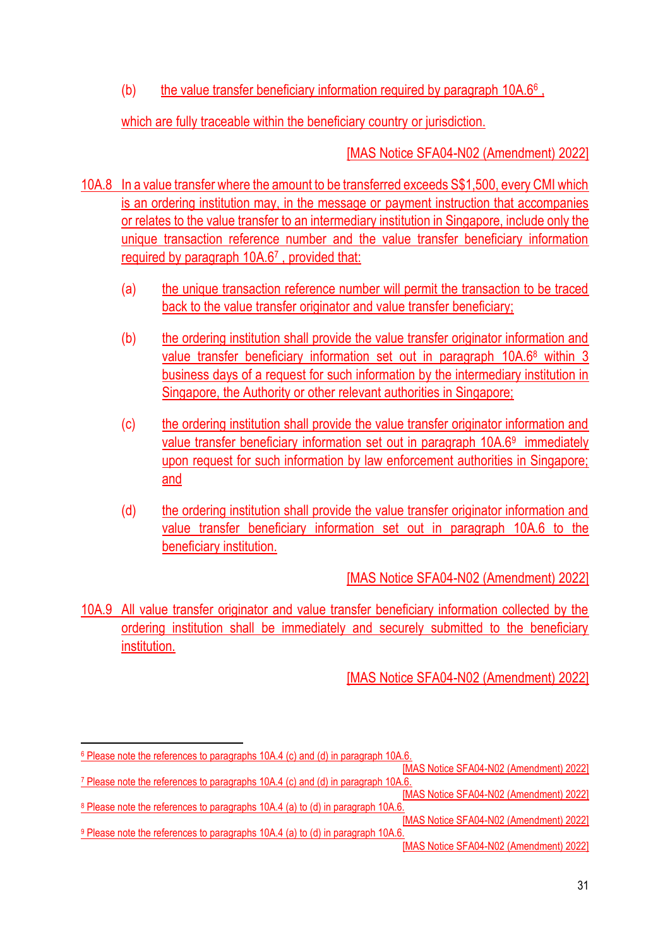(b) the value transfer beneficiary information required by paragraph 10A.6<sup>6</sup>,

which are fully traceable within the beneficiary country or jurisdiction.

[MAS Notice SFA04-N02 (Amendment) 2022]

- 10A.8 In a value transfer where the amount to be transferred exceeds S\$1,500, every CMI which is an ordering institution may, in the message or payment instruction that accompanies or relates to the value transfer to an intermediary institution in Singapore, include only the unique transaction reference number and the value transfer beneficiary information required by paragraph 10A.6<sup>7</sup> , provided that:
	- (a) the unique transaction reference number will permit the transaction to be traced back to the value transfer originator and value transfer beneficiary;
	- (b) the ordering institution shall provide the value transfer originator information and value transfer beneficiary information set out in paragraph 10A.6<sup>8</sup> within 3 business days of a request for such information by the intermediary institution in Singapore, the Authority or other relevant authorities in Singapore;
	- (c) the ordering institution shall provide the value transfer originator information and value transfer beneficiary information set out in paragraph 10A.6<sup>9</sup> immediately upon request for such information by law enforcement authorities in Singapore; and
	- (d) the ordering institution shall provide the value transfer originator information and value transfer beneficiary information set out in paragraph 10A.6 to the beneficiary institution.

[MAS Notice SFA04-N02 (Amendment) 2022]

10A.9 All value transfer originator and value transfer beneficiary information collected by the ordering institution shall be immediately and securely submitted to the beneficiary institution.

<sup>&</sup>lt;sup>6</sup> Please note the references to paragraphs 10A.4 (c) and (d) in paragraph 10A.6.

<sup>[</sup>MAS Notice SFA04-N02 (Amendment) 2022] <sup>7</sup> Please note the references to paragraphs 10A.4 (c) and (d) in paragraph 10A.6.

<sup>[</sup>MAS Notice SFA04-N02 (Amendment) 2022] <sup>8</sup> Please note the references to paragraphs 10A.4 (a) to (d) in paragraph 10A.6. [MAS Notice SFA04-N02 (Amendment) 2022]

<sup>9</sup> Please note the references to paragraphs 10A.4 (a) to (d) in paragraph 10A.6. [MAS Notice SFA04-N02 (Amendment) 2022]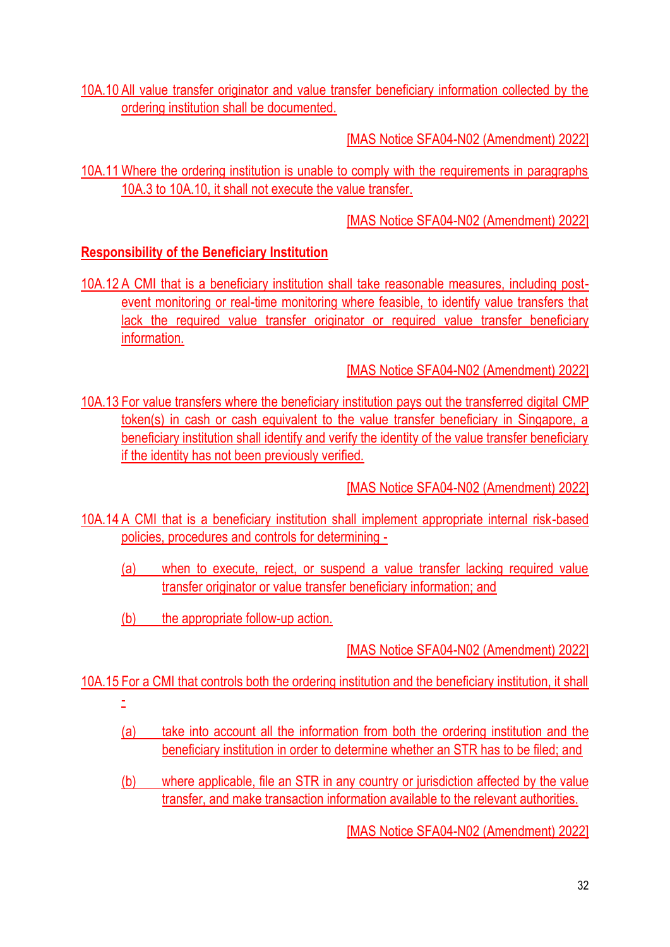10A.10 All value transfer originator and value transfer beneficiary information collected by the ordering institution shall be documented.

[MAS Notice SFA04-N02 (Amendment) 2022]

10A.11 Where the ordering institution is unable to comply with the requirements in paragraphs 10A.3 to 10A.10, it shall not execute the value transfer.

[MAS Notice SFA04-N02 (Amendment) 2022]

## **Responsibility of the Beneficiary Institution**

10A.12 A CMI that is a beneficiary institution shall take reasonable measures, including postevent monitoring or real-time monitoring where feasible, to identify value transfers that lack the required value transfer originator or required value transfer beneficiary information.

[MAS Notice SFA04-N02 (Amendment) 2022]

10A.13 For value transfers where the beneficiary institution pays out the transferred digital CMP token(s) in cash or cash equivalent to the value transfer beneficiary in Singapore, a beneficiary institution shall identify and verify the identity of the value transfer beneficiary if the identity has not been previously verified.

[MAS Notice SFA04-N02 (Amendment) 2022]

10A.14 A CMI that is a beneficiary institution shall implement appropriate internal risk-based policies, procedures and controls for determining -

- (a) when to execute, reject, or suspend a value transfer lacking required value transfer originator or value transfer beneficiary information; and
- (b) the appropriate follow-up action.

[MAS Notice SFA04-N02 (Amendment) 2022]

10A.15 For a CMI that controls both the ordering institution and the beneficiary institution, it shall

- -
- (a) take into account all the information from both the ordering institution and the beneficiary institution in order to determine whether an STR has to be filed; and
- (b) where applicable, file an STR in any country or jurisdiction affected by the value transfer, and make transaction information available to the relevant authorities.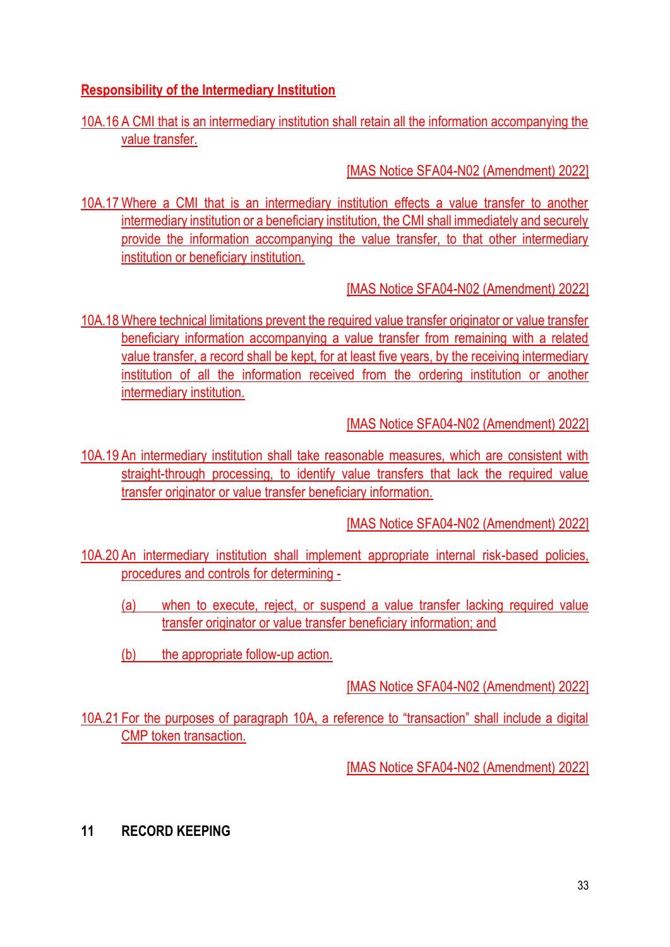## **Responsibility of the Intermediary Institution**

## 10A.16 A CMI that is an intermediary institution shall retain all the information accompanying the value transfer.

[MAS Notice SFA04-N02 (Amendment) 2022]

10A.17 Where a CMI that is an intermediary institution effects a value transfer to another intermediary institution or a beneficiary institution, the CMI shall immediately and securely provide the information accompanying the value transfer, to that other intermediary institution or beneficiary institution.

## [MAS Notice SFA04-N02 (Amendment) 2022]

10A.18 Where technical limitations prevent the required value transfer originator or value transfer beneficiary information accompanying a value transfer from remaining with a related value transfer, a record shall be kept, for at least five years, by the receiving intermediary institution of all the information received from the ordering institution or another intermediary institution.

[MAS Notice SFA04-N02 (Amendment) 2022]

10A.19 An intermediary institution shall take reasonable measures, which are consistent with straight-through processing, to identify value transfers that lack the required value transfer originator or value transfer beneficiary information.

[MAS Notice SFA04-N02 (Amendment) 2022]

- 10A.20 An intermediary institution shall implement appropriate internal risk-based policies, procedures and controls for determining -
	- (a) when to execute, reject, or suspend a value transfer lacking required value transfer originator or value transfer beneficiary information; and
	- (b) the appropriate follow-up action.

[MAS Notice SFA04-N02 (Amendment) 2022]

10A.21 For the purposes of paragraph 10A, a reference to "transaction" shall include a digital CMP token transaction.

[MAS Notice SFA04-N02 (Amendment) 2022]

**11 RECORD KEEPING**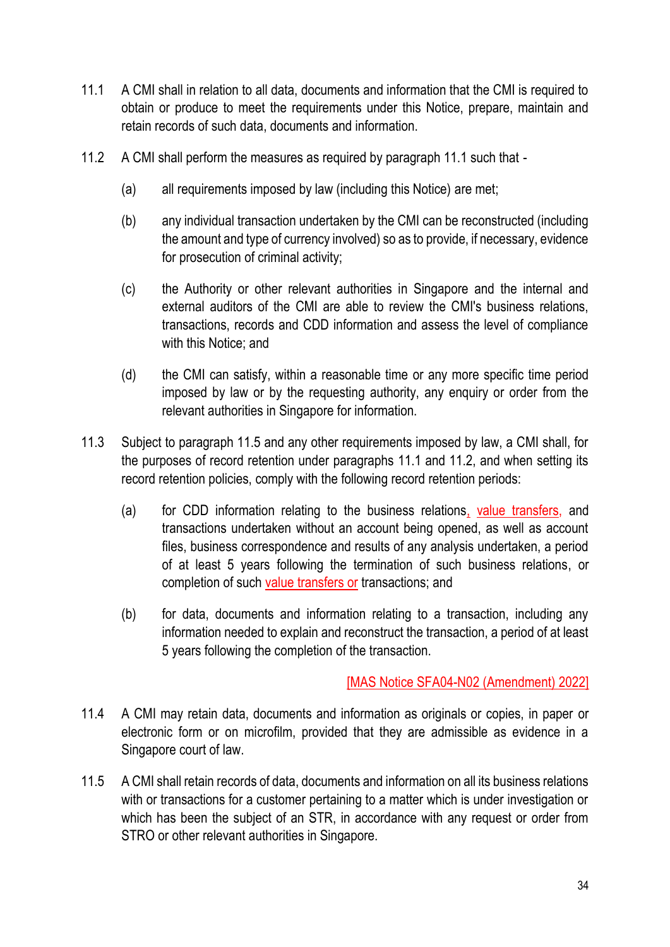- 11.1 A CMI shall in relation to all data, documents and information that the CMI is required to obtain or produce to meet the requirements under this Notice, prepare, maintain and retain records of such data, documents and information.
- 11.2 A CMI shall perform the measures as required by paragraph 11.1 such that
	- (a) all requirements imposed by law (including this Notice) are met;
	- (b) any individual transaction undertaken by the CMI can be reconstructed (including the amount and type of currency involved) so as to provide, if necessary, evidence for prosecution of criminal activity;
	- (c) the Authority or other relevant authorities in Singapore and the internal and external auditors of the CMI are able to review the CMI's business relations, transactions, records and CDD information and assess the level of compliance with this Notice; and
	- (d) the CMI can satisfy, within a reasonable time or any more specific time period imposed by law or by the requesting authority, any enquiry or order from the relevant authorities in Singapore for information.
- 11.3 Subject to paragraph 11.5 and any other requirements imposed by law, a CMI shall, for the purposes of record retention under paragraphs 11.1 and 11.2, and when setting its record retention policies, comply with the following record retention periods:
	- (a) for CDD information relating to the business relations, value transfers, and transactions undertaken without an account being opened, as well as account files, business correspondence and results of any analysis undertaken, a period of at least 5 years following the termination of such business relations, or completion of such value transfers or transactions; and
	- (b) for data, documents and information relating to a transaction, including any information needed to explain and reconstruct the transaction, a period of at least 5 years following the completion of the transaction.

- 11.4 A CMI may retain data, documents and information as originals or copies, in paper or electronic form or on microfilm, provided that they are admissible as evidence in a Singapore court of law.
- 11.5 A CMI shall retain records of data, documents and information on all its business relations with or transactions for a customer pertaining to a matter which is under investigation or which has been the subject of an STR, in accordance with any request or order from STRO or other relevant authorities in Singapore.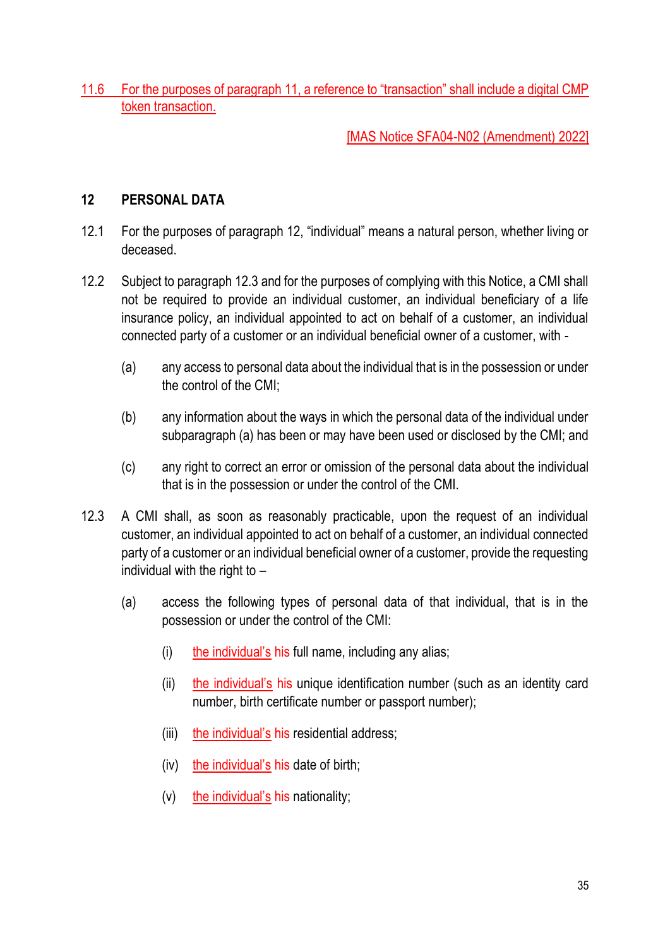11.6 For the purposes of paragraph 11, a reference to "transaction" shall include a digital CMP token transaction.

## [MAS Notice SFA04-N02 (Amendment) 2022]

### **12 PERSONAL DATA**

- 12.1 For the purposes of paragraph 12, "individual" means a natural person, whether living or deceased.
- 12.2 Subject to paragraph 12.3 and for the purposes of complying with this Notice, a CMI shall not be required to provide an individual customer, an individual beneficiary of a life insurance policy, an individual appointed to act on behalf of a customer, an individual connected party of a customer or an individual beneficial owner of a customer, with -
	- (a) any access to personal data about the individual that is in the possession or under the control of the CMI;
	- (b) any information about the ways in which the personal data of the individual under subparagraph (a) has been or may have been used or disclosed by the CMI; and
	- (c) any right to correct an error or omission of the personal data about the individual that is in the possession or under the control of the CMI.
- 12.3 A CMI shall, as soon as reasonably practicable, upon the request of an individual customer, an individual appointed to act on behalf of a customer, an individual connected party of a customer or an individual beneficial owner of a customer, provide the requesting individual with the right to –
	- (a) access the following types of personal data of that individual, that is in the possession or under the control of the CMI:
		- (i) the individual's his full name, including any alias;
		- (ii) the individual's his unique identification number (such as an identity card number, birth certificate number or passport number);
		- (iii) the individual's his residential address;
		- (iv) the individual's his date of birth;
		- (v) the individual's his nationality;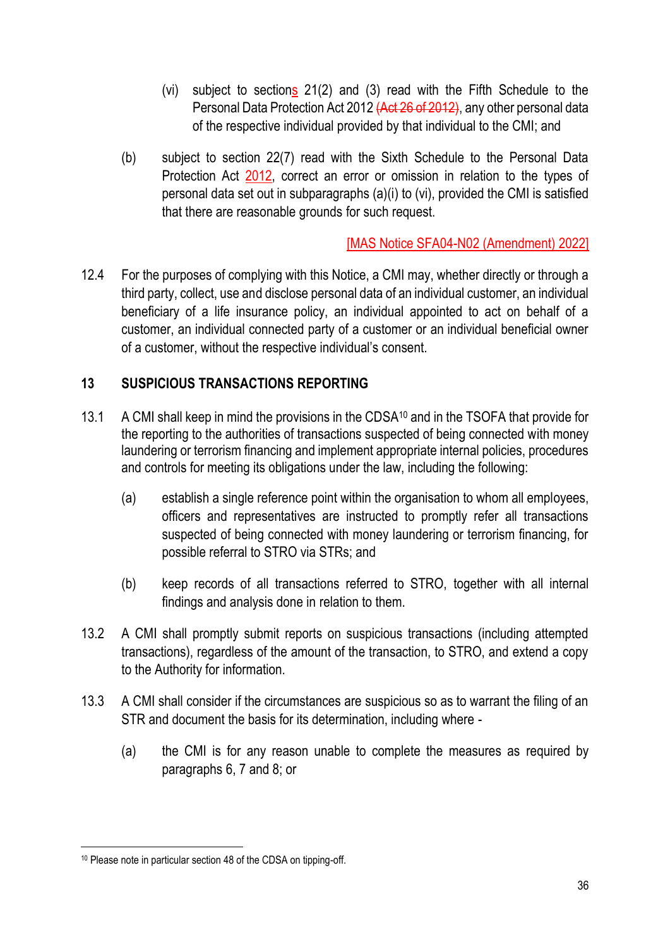- (vi) subject to sections 21(2) and (3) read with the Fifth Schedule to the Personal Data Protection Act 2012 (Act 26 of 2012), any other personal data of the respective individual provided by that individual to the CMI; and
- (b) subject to section 22(7) read with the Sixth Schedule to the Personal Data Protection Act 2012, correct an error or omission in relation to the types of personal data set out in subparagraphs (a)(i) to (vi), provided the CMI is satisfied that there are reasonable grounds for such request.

12.4 For the purposes of complying with this Notice, a CMI may, whether directly or through a third party, collect, use and disclose personal data of an individual customer, an individual beneficiary of a life insurance policy, an individual appointed to act on behalf of a customer, an individual connected party of a customer or an individual beneficial owner of a customer, without the respective individual's consent.

### **13 SUSPICIOUS TRANSACTIONS REPORTING**

- 13.1 A CMI shall keep in mind the provisions in the CDSA<sup>10</sup> and in the TSOFA that provide for the reporting to the authorities of transactions suspected of being connected with money laundering or terrorism financing and implement appropriate internal policies, procedures and controls for meeting its obligations under the law, including the following:
	- (a) establish a single reference point within the organisation to whom all employees, officers and representatives are instructed to promptly refer all transactions suspected of being connected with money laundering or terrorism financing, for possible referral to STRO via STRs; and
	- (b) keep records of all transactions referred to STRO, together with all internal findings and analysis done in relation to them.
- 13.2 A CMI shall promptly submit reports on suspicious transactions (including attempted transactions), regardless of the amount of the transaction, to STRO, and extend a copy to the Authority for information.
- 13.3 A CMI shall consider if the circumstances are suspicious so as to warrant the filing of an STR and document the basis for its determination, including where -
	- (a) the CMI is for any reason unable to complete the measures as required by paragraphs 6, 7 and 8; or

<sup>10</sup> Please note in particular section 48 of the CDSA on tipping-off.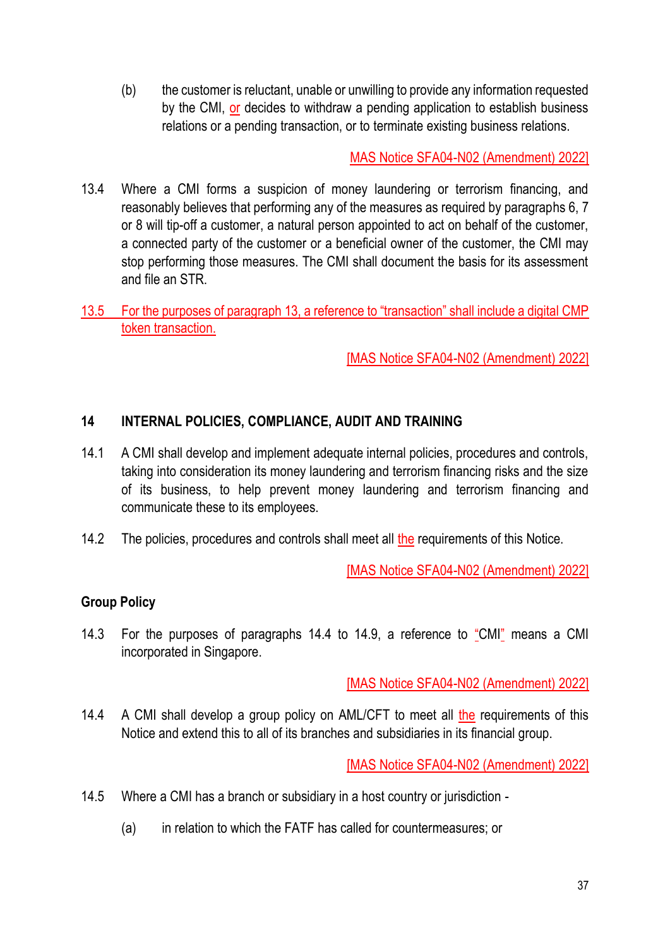(b) the customer is reluctant, unable or unwilling to provide any information requested by the CMI, or decides to withdraw a pending application to establish business relations or a pending transaction, or to terminate existing business relations.

MAS Notice SFA04-N02 (Amendment) 2022]

- 13.4 Where a CMI forms a suspicion of money laundering or terrorism financing, and reasonably believes that performing any of the measures as required by paragraphs 6, 7 or 8 will tip-off a customer, a natural person appointed to act on behalf of the customer, a connected party of the customer or a beneficial owner of the customer, the CMI may stop performing those measures. The CMI shall document the basis for its assessment and file an STR.
- 13.5 For the purposes of paragraph 13, a reference to "transaction" shall include a digital CMP token transaction.

[MAS Notice SFA04-N02 (Amendment) 2022]

## **14 INTERNAL POLICIES, COMPLIANCE, AUDIT AND TRAINING**

- 14.1 A CMI shall develop and implement adequate internal policies, procedures and controls, taking into consideration its money laundering and terrorism financing risks and the size of its business, to help prevent money laundering and terrorism financing and communicate these to its employees.
- 14.2 The policies, procedures and controls shall meet all the requirements of this Notice.

[MAS Notice SFA04-N02 (Amendment) 2022]

## **Group Policy**

14.3 For the purposes of paragraphs 14.4 to 14.9, a reference to "CMI" means a CMI incorporated in Singapore.

[MAS Notice SFA04-N02 (Amendment) 2022]

14.4 A CMI shall develop a group policy on AML/CFT to meet all the requirements of this Notice and extend this to all of its branches and subsidiaries in its financial group.

- 14.5 Where a CMI has a branch or subsidiary in a host country or jurisdiction
	- (a) in relation to which the FATF has called for countermeasures; or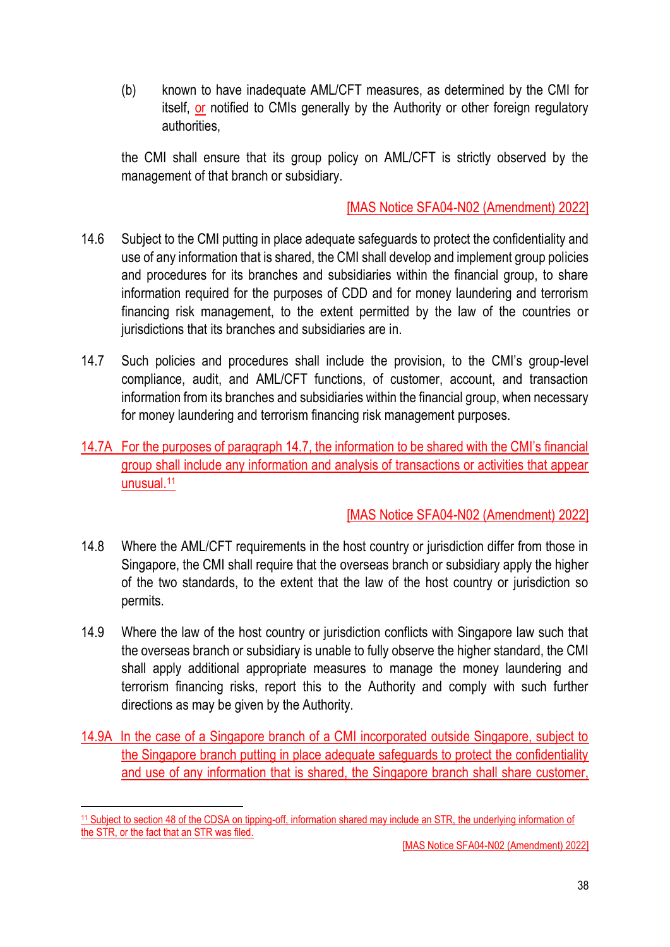(b) known to have inadequate AML/CFT measures, as determined by the CMI for itself, or notified to CMIs generally by the Authority or other foreign regulatory authorities,

the CMI shall ensure that its group policy on AML/CFT is strictly observed by the management of that branch or subsidiary.

### [MAS Notice SFA04-N02 (Amendment) 2022]

- 14.6 Subject to the CMI putting in place adequate safeguards to protect the confidentiality and use of any information that is shared, the CMI shall develop and implement group policies and procedures for its branches and subsidiaries within the financial group, to share information required for the purposes of CDD and for money laundering and terrorism financing risk management, to the extent permitted by the law of the countries or jurisdictions that its branches and subsidiaries are in.
- 14.7 Such policies and procedures shall include the provision, to the CMI's group-level compliance, audit, and AML/CFT functions, of customer, account, and transaction information from its branches and subsidiaries within the financial group, when necessary for money laundering and terrorism financing risk management purposes.
- 14.7A For the purposes of paragraph 14.7, the information to be shared with the CMI's financial group shall include any information and analysis of transactions or activities that appear unusual.<sup>11</sup>

## [MAS Notice SFA04-N02 (Amendment) 2022]

- 14.8 Where the AML/CFT requirements in the host country or jurisdiction differ from those in Singapore, the CMI shall require that the overseas branch or subsidiary apply the higher of the two standards, to the extent that the law of the host country or jurisdiction so permits.
- 14.9 Where the law of the host country or jurisdiction conflicts with Singapore law such that the overseas branch or subsidiary is unable to fully observe the higher standard, the CMI shall apply additional appropriate measures to manage the money laundering and terrorism financing risks, report this to the Authority and comply with such further directions as may be given by the Authority.
- 14.9A In the case of a Singapore branch of a CMI incorporated outside Singapore, subject to the Singapore branch putting in place adequate safeguards to protect the confidentiality and use of any information that is shared, the Singapore branch shall share customer,

<sup>11</sup> Subject to section 48 of the CDSA on tipping-off, information shared may include an STR, the underlying information of the STR, or the fact that an STR was filed.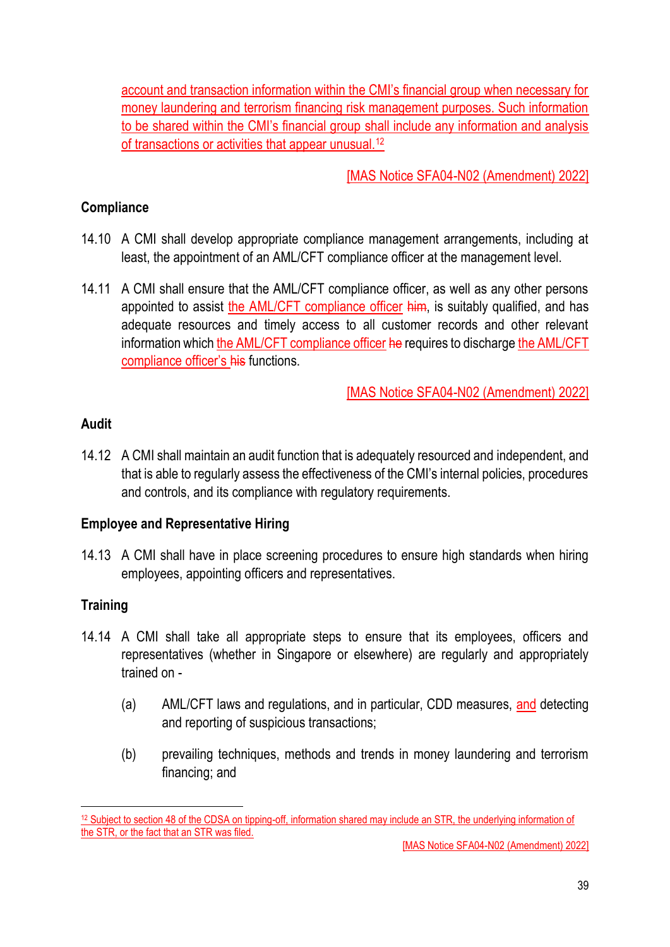account and transaction information within the CMI's financial group when necessary for money laundering and terrorism financing risk management purposes. Such information to be shared within the CMI's financial group shall include any information and analysis of transactions or activities that appear unusual.<sup>12</sup>

[MAS Notice SFA04-N02 (Amendment) 2022]

### **Compliance**

- 14.10 A CMI shall develop appropriate compliance management arrangements, including at least, the appointment of an AML/CFT compliance officer at the management level.
- 14.11 A CMI shall ensure that the AML/CFT compliance officer, as well as any other persons appointed to assist the AML/CFT compliance officer him, is suitably qualified, and has adequate resources and timely access to all customer records and other relevant information which the AML/CFT compliance officer he requires to discharge the AML/CFT compliance officer's his functions.

[MAS Notice SFA04-N02 (Amendment) 2022]

### **Audit**

14.12 A CMI shall maintain an audit function that is adequately resourced and independent, and that is able to regularly assess the effectiveness of the CMI's internal policies, procedures and controls, and its compliance with regulatory requirements.

#### **Employee and Representative Hiring**

14.13 A CMI shall have in place screening procedures to ensure high standards when hiring employees, appointing officers and representatives.

## **Training**

- 14.14 A CMI shall take all appropriate steps to ensure that its employees, officers and representatives (whether in Singapore or elsewhere) are regularly and appropriately trained on -
	- (a) AML/CFT laws and regulations, and in particular, CDD measures, and detecting and reporting of suspicious transactions;
	- (b) prevailing techniques, methods and trends in money laundering and terrorism financing; and

<sup>&</sup>lt;sup>12</sup> Subject to section 48 of the CDSA on tipping-off, information shared may include an STR, the underlying information of the STR, or the fact that an STR was filed.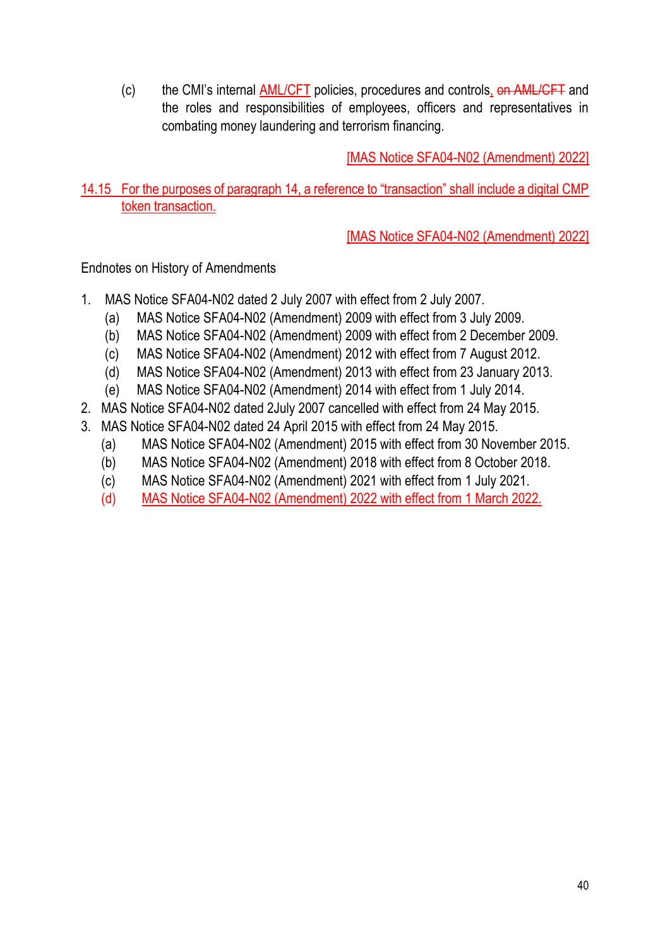(c) the CMI's internal AML/CFT policies, procedures and controls, on AML/CFT and the roles and responsibilities of employees, officers and representatives in combating money laundering and terrorism financing.

[MAS Notice SFA04-N02 (Amendment) 2022]

14.15 For the purposes of paragraph 14, a reference to "transaction" shall include a digital CMP token transaction.

[MAS Notice SFA04-N02 (Amendment) 2022]

Endnotes on History of Amendments

- 1. MAS Notice SFA04-N02 dated 2 July 2007 with effect from 2 July 2007.
	- (a) MAS Notice SFA04-N02 (Amendment) 2009 with effect from 3 July 2009.
	- (b) MAS Notice SFA04-N02 (Amendment) 2009 with effect from 2 December 2009.
	- (c) MAS Notice SFA04-N02 (Amendment) 2012 with effect from 7 August 2012.
	- (d) MAS Notice SFA04-N02 (Amendment) 2013 with effect from 23 January 2013.
	- (e) MAS Notice SFA04-N02 (Amendment) 2014 with effect from 1 July 2014.
- 2. MAS Notice SFA04-N02 dated 2July 2007 cancelled with effect from 24 May 2015.
- 3. MAS Notice SFA04-N02 dated 24 April 2015 with effect from 24 May 2015.
	- (a) MAS Notice SFA04-N02 (Amendment) 2015 with effect from 30 November 2015.
	- (b) MAS Notice SFA04-N02 (Amendment) 2018 with effect from 8 October 2018.
	- (c) MAS Notice SFA04-N02 (Amendment) 2021 with effect from 1 July 2021.
	- (d) MAS Notice SFA04-N02 (Amendment) 2022 with effect from 1 March 2022.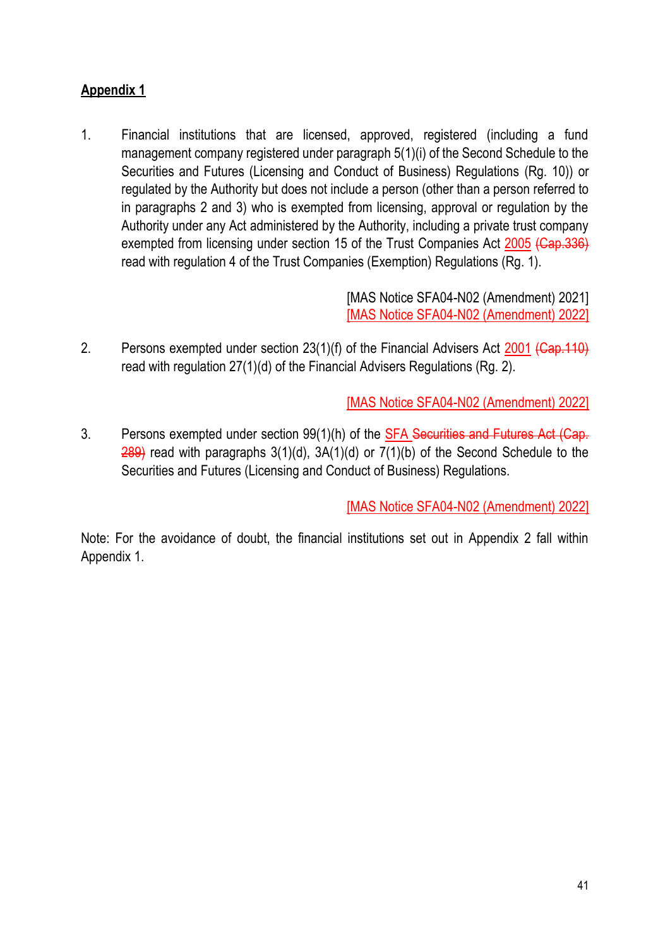# **Appendix 1**

1. Financial institutions that are licensed, approved, registered (including a fund management company registered under paragraph 5(1)(i) of the Second Schedule to the Securities and Futures (Licensing and Conduct of Business) Regulations (Rg. 10)) or regulated by the Authority but does not include a person (other than a person referred to in paragraphs 2 and 3) who is exempted from licensing, approval or regulation by the Authority under any Act administered by the Authority, including a private trust company exempted from licensing under section 15 of the Trust Companies Act 2005 (Cap.336) read with regulation 4 of the Trust Companies (Exemption) Regulations (Rg. 1).

> [MAS Notice SFA04-N02 (Amendment) 2021] [MAS Notice SFA04-N02 (Amendment) 2022]

2. Persons exempted under section 23(1)(f) of the Financial Advisers Act 2001 (Cap. 110) read with regulation 27(1)(d) of the Financial Advisers Regulations (Rg. 2).

[MAS Notice SFA04-N02 (Amendment) 2022]

3. Persons exempted under section 99(1)(h) of the **SFA Securities and Futures Act (Cap.** 289) read with paragraphs 3(1)(d), 3A(1)(d) or 7(1)(b) of the Second Schedule to the Securities and Futures (Licensing and Conduct of Business) Regulations.

[MAS Notice SFA04-N02 (Amendment) 2022]

Note: For the avoidance of doubt, the financial institutions set out in Appendix 2 fall within Appendix 1.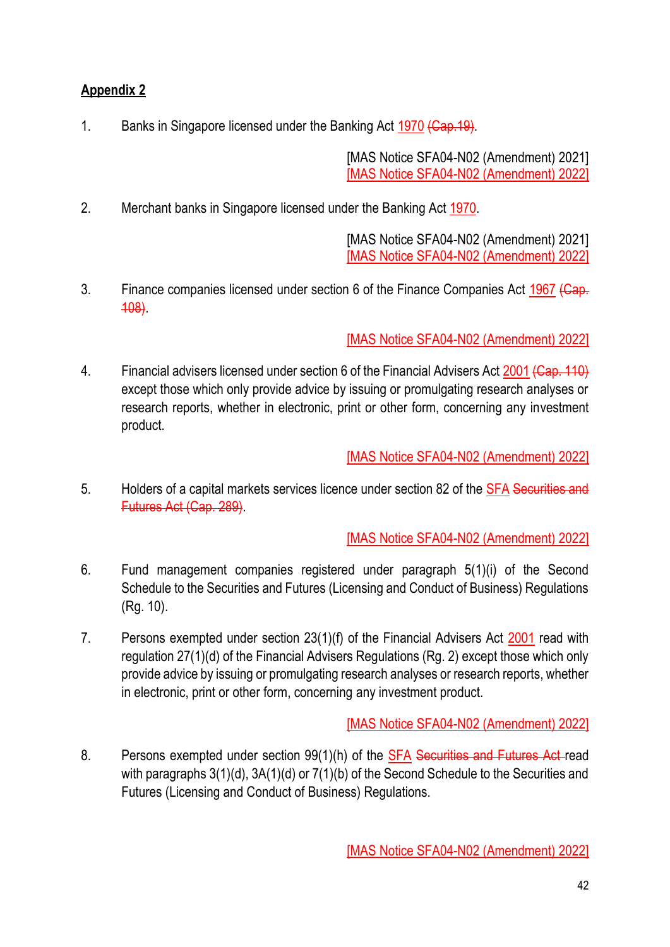# **Appendix 2**

1. Banks in Singapore licensed under the Banking Act 1970 (Cap. 19).

[MAS Notice SFA04-N02 (Amendment) 2021] [MAS Notice SFA04-N02 (Amendment) 2022]

2. Merchant banks in Singapore licensed under the Banking Act 1970.

[MAS Notice SFA04-N02 (Amendment) 2021] [MAS Notice SFA04-N02 (Amendment) 2022]

3. Finance companies licensed under section 6 of the Finance Companies Act 1967 (Cap. 108).

[MAS Notice SFA04-N02 (Amendment) 2022]

4. Financial advisers licensed under section 6 of the Financial Advisers Act 2001 (Cap. 110) except those which only provide advice by issuing or promulgating research analyses or research reports, whether in electronic, print or other form, concerning any investment product.

[MAS Notice SFA04-N02 (Amendment) 2022]

5. Holders of a capital markets services licence under section 82 of the SFA Securities and Futures Act (Cap. 289).

[MAS Notice SFA04-N02 (Amendment) 2022]

- 6. Fund management companies registered under paragraph 5(1)(i) of the Second Schedule to the Securities and Futures (Licensing and Conduct of Business) Regulations (Rg. 10).
- 7. Persons exempted under section 23(1)(f) of the Financial Advisers Act 2001 read with regulation 27(1)(d) of the Financial Advisers Regulations (Rg. 2) except those which only provide advice by issuing or promulgating research analyses or research reports, whether in electronic, print or other form, concerning any investment product.

[MAS Notice SFA04-N02 (Amendment) 2022]

8. Persons exempted under section 99(1)(h) of the SFA Securities and Futures Act-read with paragraphs 3(1)(d), 3A(1)(d) or 7(1)(b) of the Second Schedule to the Securities and Futures (Licensing and Conduct of Business) Regulations.